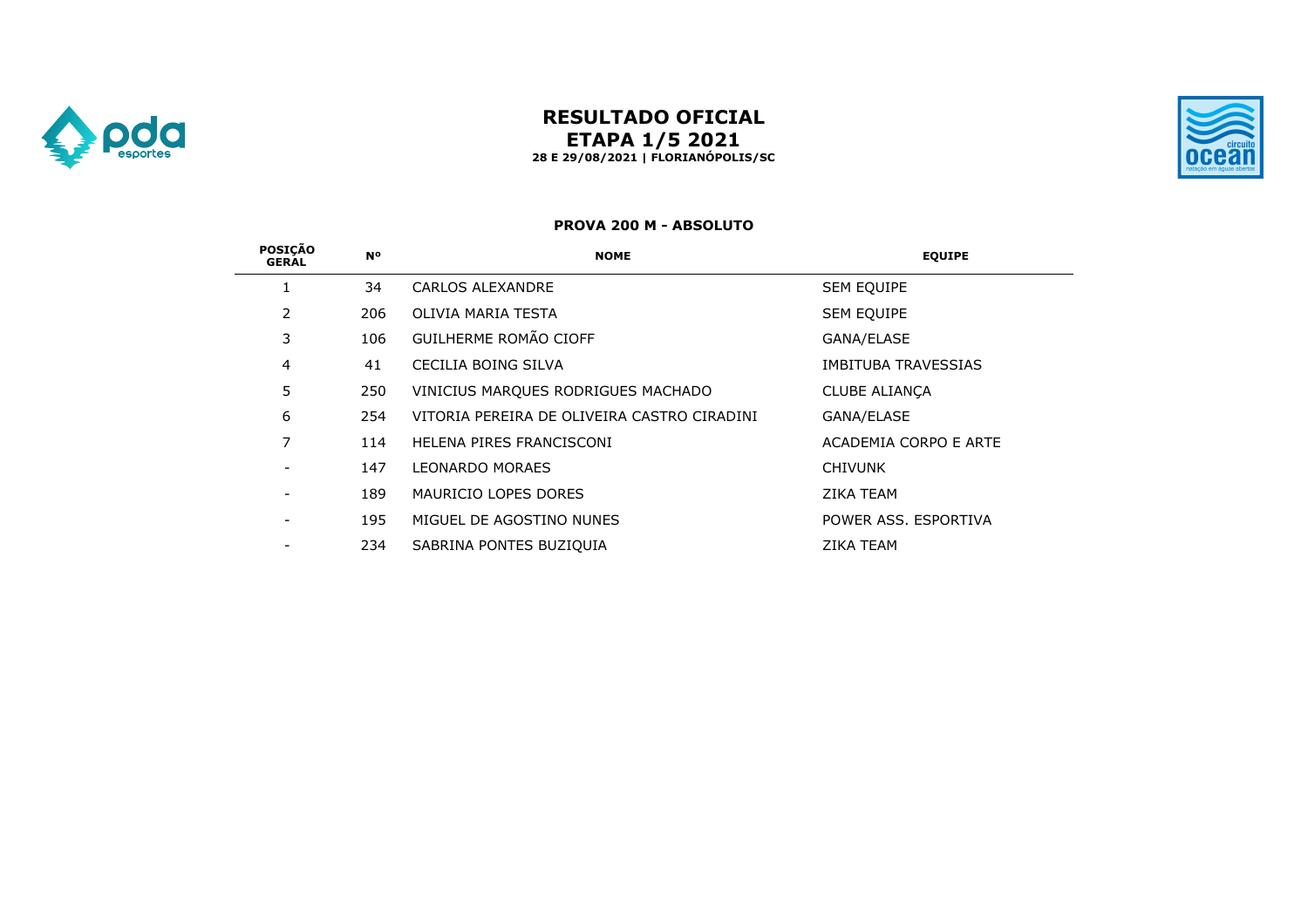

# **RESULTADO OFICIAL ETAPA 1/5 2021 28 E 29/08/2021 | FLORIANÓPOLIS/SC**



#### **PROVA 200 M - ABSOLUTO**

| <b>POSICÃO</b><br><b>GERAL</b> | <b>N°</b> | <b>NOME</b>                                 | <b>EQUIPE</b>              |
|--------------------------------|-----------|---------------------------------------------|----------------------------|
|                                | 34        | CARLOS ALEXANDRE                            | <b>SEM EQUIPE</b>          |
| 2                              | 206       | OLIVIA MARIA TESTA                          | <b>SEM EQUIPE</b>          |
| 3                              | 106       | GUILHERME ROMÃO CIOFF                       | GANA/ELASE                 |
| $\overline{4}$                 | 41        | CECILIA BOING SILVA                         | <b>IMBITUBA TRAVESSIAS</b> |
| 5                              | 250       | VINICIUS MARQUES RODRIGUES MACHADO          | <b>CLUBE ALIANCA</b>       |
| 6                              | 254       | VITORIA PEREIRA DE OLIVEIRA CASTRO CIRADINI | GANA/ELASE                 |
| 7                              | 114       | HELENA PIRES FRANCISCONI                    | ACADEMIA CORPO E ARTE      |
|                                | 147       | <b>LEONARDO MORAES</b>                      | <b>CHIVUNK</b>             |
|                                | 189       | MAURICIO LOPES DORES                        | <b>ZIKA TEAM</b>           |
|                                | 195       | MIGUEL DE AGOSTINO NUNES                    | POWER ASS, ESPORTIVA       |
|                                | 234       | SABRINA PONTES BUZIQUIA                     | <b>ZIKA TEAM</b>           |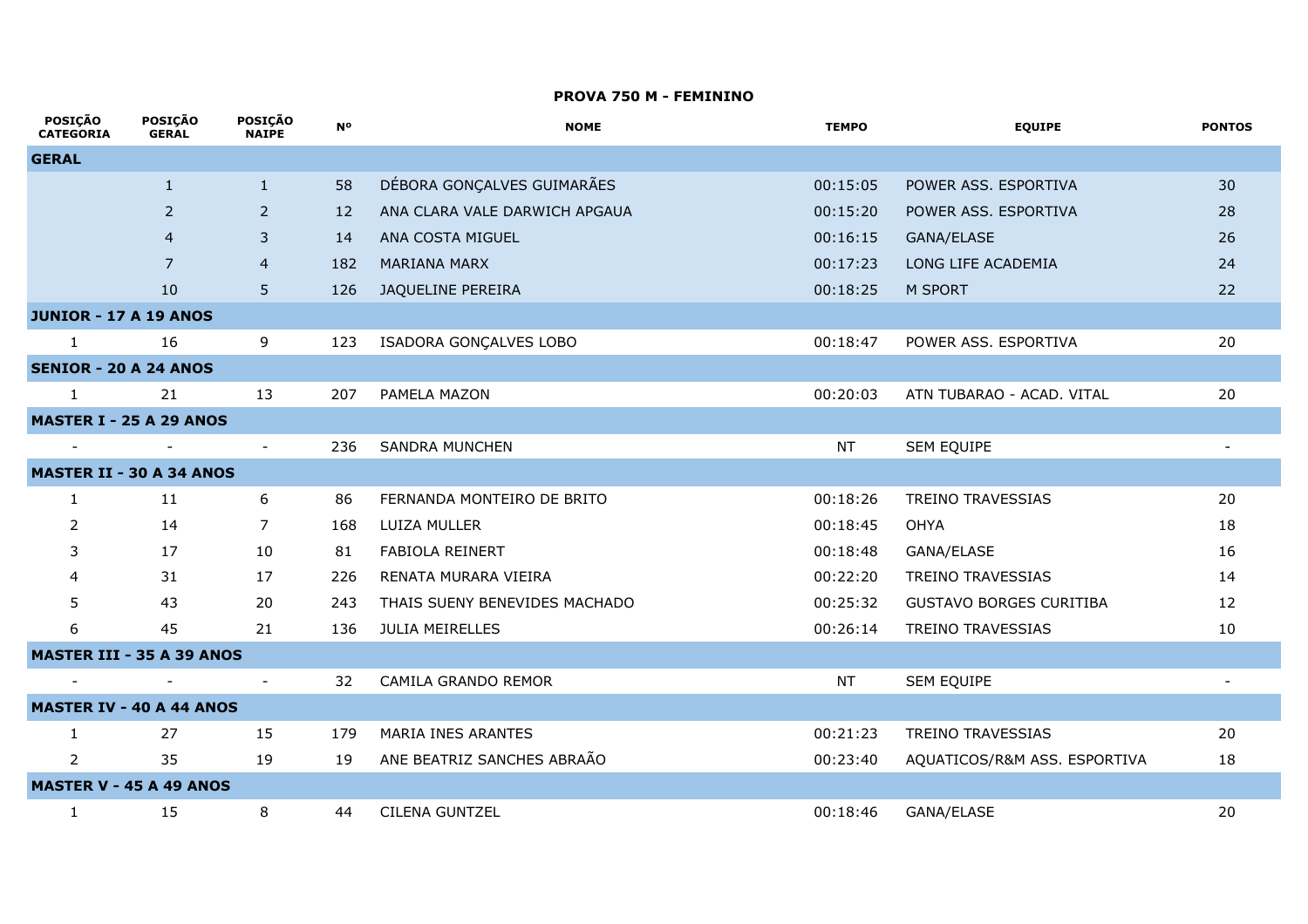## **PROVA 750 M - FEMININO**

 $\mathcal{L}$ 

| <b>POSIÇAO</b><br><b>CATEGORIA</b> | <b>POSIÇAO</b><br><b>GERAL</b> | <b>POSIÇAO</b><br><b>NAIPE</b> | <b>N°</b> | <b>NOME</b>                   | <b>TEMPO</b> | <b>EQUIPE</b>                  | <b>PONTOS</b> |
|------------------------------------|--------------------------------|--------------------------------|-----------|-------------------------------|--------------|--------------------------------|---------------|
| <b>GERAL</b>                       |                                |                                |           |                               |              |                                |               |
|                                    | $\mathbf{1}$                   | $\mathbf{1}$                   | 58        | DÉBORA GONÇALVES GUIMARÃES    | 00:15:05     | POWER ASS. ESPORTIVA           | 30            |
|                                    | $\overline{2}$                 | 2                              | 12        | ANA CLARA VALE DARWICH APGAUA | 00:15:20     | POWER ASS. ESPORTIVA           | 28            |
|                                    | $\overline{4}$                 | 3                              | 14        | ANA COSTA MIGUEL              | 00:16:15     | GANA/ELASE                     | 26            |
|                                    | 7                              | $\overline{4}$                 | 182       | <b>MARIANA MARX</b>           | 00:17:23     | LONG LIFE ACADEMIA             | 24            |
|                                    | 10                             | 5                              | 126       | JAQUELINE PEREIRA             | 00:18:25     | M SPORT                        | 22            |
| <b>JUNIOR - 17 A 19 ANOS</b>       |                                |                                |           |                               |              |                                |               |
| 1                                  | 16                             | 9                              | 123       | ISADORA GONÇALVES LOBO        | 00:18:47     | POWER ASS. ESPORTIVA           | 20            |
| <b>SENIOR - 20 A 24 ANOS</b>       |                                |                                |           |                               |              |                                |               |
| $\mathbf{1}$                       | 21                             | 13                             | 207       | PAMELA MAZON                  | 00:20:03     | ATN TUBARAO - ACAD. VITAL      | 20            |
| <b>MASTER I - 25 A 29 ANOS</b>     |                                |                                |           |                               |              |                                |               |
|                                    | $\overline{\phantom{a}}$       | $\overline{\phantom{a}}$       | 236       | <b>SANDRA MUNCHEN</b>         | <b>NT</b>    | SEM EQUIPE                     |               |
| <b>MASTER II - 30 A 34 ANOS</b>    |                                |                                |           |                               |              |                                |               |
| $\mathbf{1}$                       | 11                             | 6                              | 86        | FERNANDA MONTEIRO DE BRITO    | 00:18:26     | <b>TREINO TRAVESSIAS</b>       | 20            |
| 2                                  | 14                             | $\overline{7}$                 | 168       | LUIZA MULLER                  | 00:18:45     | <b>OHYA</b>                    | 18            |
| 3                                  | 17                             | 10                             | 81        | FABIOLA REINERT               | 00:18:48     | GANA/ELASE                     | 16            |
|                                    | 31                             | 17                             | 226       | RENATA MURARA VIEIRA          | 00:22:20     | <b>TREINO TRAVESSIAS</b>       | 14            |
| 5                                  | 43                             | 20                             | 243       | THAIS SUENY BENEVIDES MACHADO | 00:25:32     | <b>GUSTAVO BORGES CURITIBA</b> | 12            |
| 6                                  | 45                             | 21                             | 136       | <b>JULIA MEIRELLES</b>        | 00:26:14     | <b>TREINO TRAVESSIAS</b>       | 10            |
| <b>MASTER III - 35 A 39 ANOS</b>   |                                |                                |           |                               |              |                                |               |
|                                    |                                | $\overline{\phantom{a}}$       | 32        | CAMILA GRANDO REMOR           | <b>NT</b>    | SEM EQUIPE                     |               |
| <b>MASTER IV - 40 A 44 ANOS</b>    |                                |                                |           |                               |              |                                |               |
| $\mathbf{1}$                       | 27                             | 15                             | 179       | MARIA INES ARANTES            | 00:21:23     | <b>TREINO TRAVESSIAS</b>       | 20            |
| $\overline{2}$                     | 35                             | 19                             | 19        | ANE BEATRIZ SANCHES ABRAÃO    | 00:23:40     | AQUATICOS/R&M ASS. ESPORTIVA   | 18            |
| <b>MASTER V - 45 A 49 ANOS</b>     |                                |                                |           |                               |              |                                |               |
| 1                                  | 15                             | 8                              | 44        | <b>CILENA GUNTZEL</b>         | 00:18:46     | <b>GANA/ELASE</b>              | 20            |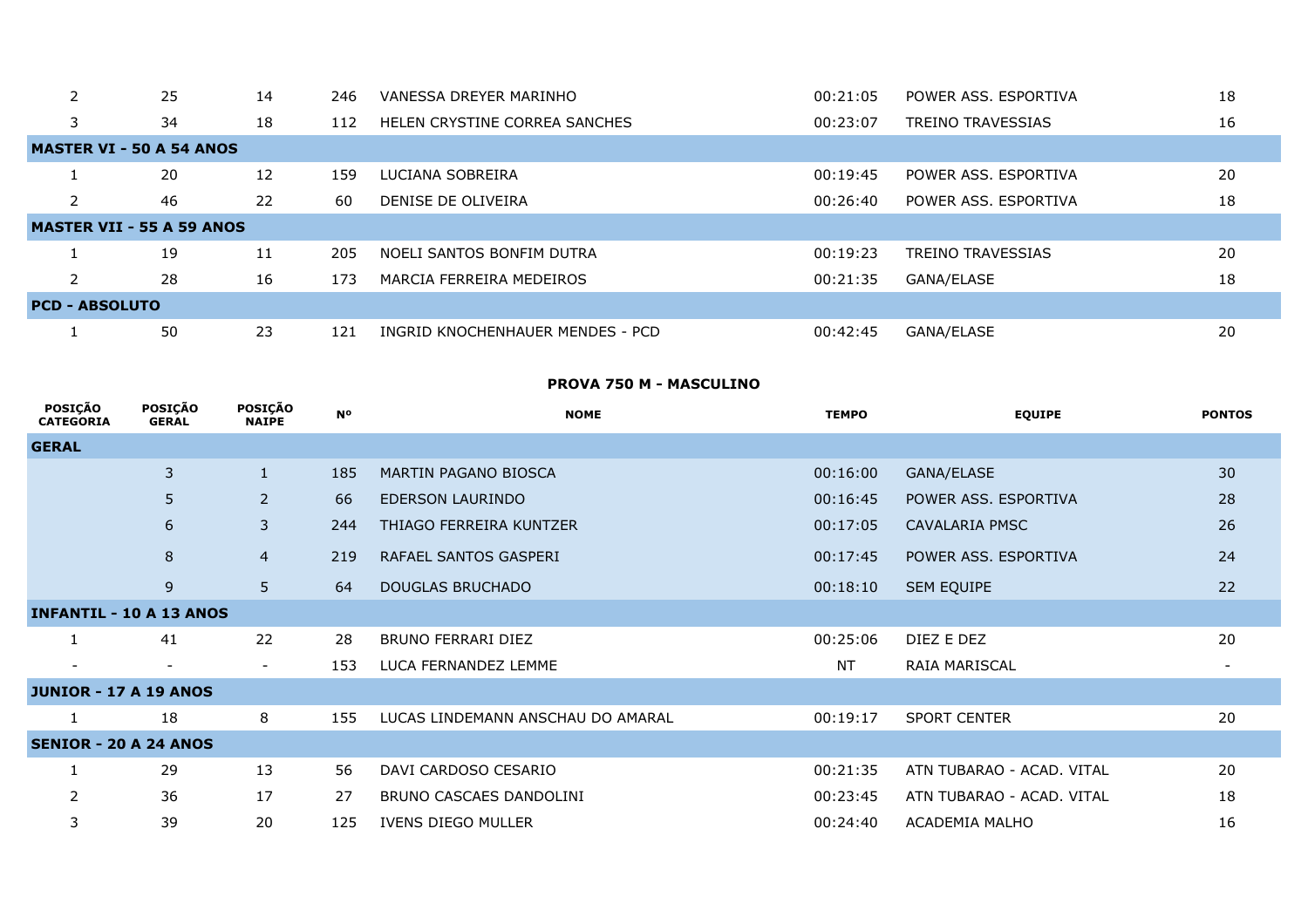|                                  | 25 | 14 | 246 | VANESSA DREYER MARINHO           | 00:21:05 | POWER ASS, ESPORTIVA     | 18 |  |  |  |
|----------------------------------|----|----|-----|----------------------------------|----------|--------------------------|----|--|--|--|
| 3                                | 34 | 18 | 112 | HELEN CRYSTINE CORREA SANCHES    | 00:23:07 | <b>TREINO TRAVESSIAS</b> | 16 |  |  |  |
| <b>MASTER VI - 50 A 54 ANOS</b>  |    |    |     |                                  |          |                          |    |  |  |  |
|                                  | 20 | 12 | 159 | LUCIANA SOBREIRA                 | 00:19:45 | POWER ASS, ESPORTIVA     | 20 |  |  |  |
|                                  | 46 | 22 | 60  | DENISE DE OLIVEIRA               | 00:26:40 | POWER ASS, ESPORTIVA     | 18 |  |  |  |
| <b>MASTER VII - 55 A 59 ANOS</b> |    |    |     |                                  |          |                          |    |  |  |  |
|                                  | 19 | 11 | 205 | NOELI SANTOS BONFIM DUTRA        | 00:19:23 | <b>TREINO TRAVESSIAS</b> | 20 |  |  |  |
|                                  | 28 | 16 | 173 | MARCIA FERREIRA MEDEIROS         | 00:21:35 | GANA/ELASE               | 18 |  |  |  |
| <b>PCD - ABSOLUTO</b>            |    |    |     |                                  |          |                          |    |  |  |  |
|                                  | 50 | 23 | 121 | INGRID KNOCHENHAUER MENDES - PCD | 00:42:45 | GANA/ELASE               | 20 |  |  |  |

## **PROVA 750 M - MASCULINO**

| <b>POSIÇÃO</b><br><b>CATEGORIA</b> | POSIÇÃO<br><b>GERAL</b>  | <b>POSIÇÃO</b><br><b>NAIPE</b> | <b>N°</b> | <b>NOME</b>                       | <b>TEMPO</b> | <b>EQUIPE</b>             | <b>PONTOS</b> |
|------------------------------------|--------------------------|--------------------------------|-----------|-----------------------------------|--------------|---------------------------|---------------|
| <b>GERAL</b>                       |                          |                                |           |                                   |              |                           |               |
|                                    | 3                        | $\mathbf{1}$                   | 185       | MARTIN PAGANO BIOSCA              | 00:16:00     | GANA/ELASE                | 30            |
|                                    | 5                        | $\overline{2}$                 | 66        | EDERSON LAURINDO                  | 00:16:45     | POWER ASS. ESPORTIVA      | 28            |
|                                    | 6                        | 3                              | 244       | THIAGO FERREIRA KUNTZER           | 00:17:05     | CAVALARIA PMSC            | 26            |
|                                    | 8                        | $\overline{4}$                 | 219       | RAFAEL SANTOS GASPERI             | 00:17:45     | POWER ASS. ESPORTIVA      | 24            |
|                                    | $\overline{9}$           | 5                              | 64        | <b>DOUGLAS BRUCHADO</b>           | 00:18:10     | <b>SEM EQUIPE</b>         | 22            |
| <b>INFANTIL - 10 A 13 ANOS</b>     |                          |                                |           |                                   |              |                           |               |
|                                    | 41                       | 22                             | 28        | <b>BRUNO FERRARI DIEZ</b>         | 00:25:06     | DIEZ E DEZ                | 20            |
|                                    | $\overline{\phantom{a}}$ | $\overline{\phantom{a}}$       | 153       | LUCA FERNANDEZ LEMME              | <b>NT</b>    | RAIA MARISCAL             |               |
| <b>JUNIOR - 17 A 19 ANOS</b>       |                          |                                |           |                                   |              |                           |               |
|                                    | 18                       | 8                              | 155       | LUCAS LINDEMANN ANSCHAU DO AMARAL | 00:19:17     | <b>SPORT CENTER</b>       | 20            |
| <b>SENIOR - 20 A 24 ANOS</b>       |                          |                                |           |                                   |              |                           |               |
|                                    | 29                       | 13                             | 56        | DAVI CARDOSO CESARIO              | 00:21:35     | ATN TUBARAO - ACAD. VITAL | 20            |
|                                    | 36                       | 17                             | 27        | BRUNO CASCAES DANDOLINI           | 00:23:45     | ATN TUBARAO - ACAD, VITAL | 18            |
| 3                                  | 39                       | 20                             | 125       | IVENS DIEGO MULLER                | 00:24:40     | ACADEMIA MALHO            | 16            |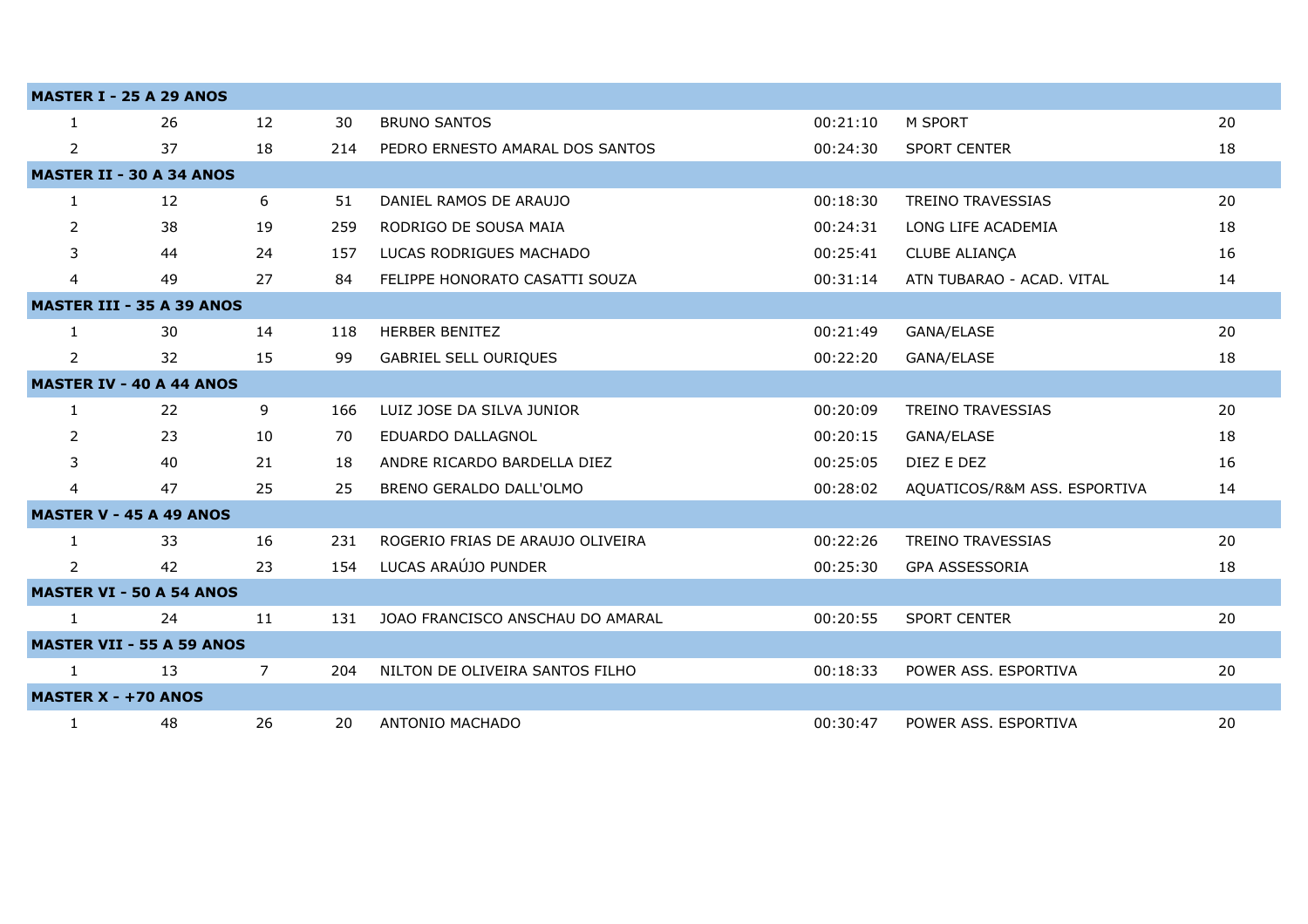|                | <b>MASTER I - 25 A 29 ANOS</b>   |                |     |                                  |          |                              |    |
|----------------|----------------------------------|----------------|-----|----------------------------------|----------|------------------------------|----|
| 1              | 26                               | 12             | 30  | <b>BRUNO SANTOS</b>              | 00:21:10 | M SPORT                      | 20 |
| $\overline{2}$ | 37                               | 18             | 214 | PEDRO ERNESTO AMARAL DOS SANTOS  | 00:24:30 | <b>SPORT CENTER</b>          | 18 |
|                | <b>MASTER II - 30 A 34 ANOS</b>  |                |     |                                  |          |                              |    |
| $\mathbf{1}$   | 12                               | 6              | 51  | DANIEL RAMOS DE ARAUJO           | 00:18:30 | <b>TREINO TRAVESSIAS</b>     | 20 |
| 2              | 38                               | 19             | 259 | RODRIGO DE SOUSA MAIA            | 00:24:31 | LONG LIFE ACADEMIA           | 18 |
| 3              | 44                               | 24             | 157 | LUCAS RODRIGUES MACHADO          | 00:25:41 | CLUBE ALIANÇA                | 16 |
| 4              | 49                               | 27             | 84  | FELIPPE HONORATO CASATTI SOUZA   | 00:31:14 | ATN TUBARAO - ACAD. VITAL    | 14 |
|                | <b>MASTER III - 35 A 39 ANOS</b> |                |     |                                  |          |                              |    |
| $\mathbf{1}$   | 30                               | 14             | 118 | <b>HERBER BENITEZ</b>            | 00:21:49 | GANA/ELASE                   | 20 |
| $\overline{2}$ | 32                               | 15             | 99  | <b>GABRIEL SELL OURIQUES</b>     | 00:22:20 | GANA/ELASE                   | 18 |
|                | <b>MASTER IV - 40 A 44 ANOS</b>  |                |     |                                  |          |                              |    |
| 1              | 22                               | 9              | 166 | LUIZ JOSE DA SILVA JUNIOR        | 00:20:09 | <b>TREINO TRAVESSIAS</b>     | 20 |
| 2              | 23                               | 10             | 70  | EDUARDO DALLAGNOL                | 00:20:15 | GANA/ELASE                   | 18 |
| 3              | 40                               | 21             | 18  | ANDRE RICARDO BARDELLA DIEZ      | 00:25:05 | DIEZ E DEZ                   | 16 |
| 4              | 47                               | 25             | 25  | BRENO GERALDO DALL'OLMO          | 00:28:02 | AQUATICOS/R&M ASS. ESPORTIVA | 14 |
|                | <b>MASTER V - 45 A 49 ANOS</b>   |                |     |                                  |          |                              |    |
| 1              | 33                               | 16             | 231 | ROGERIO FRIAS DE ARAUJO OLIVEIRA | 00:22:26 | <b>TREINO TRAVESSIAS</b>     | 20 |
| 2              | 42                               | 23             | 154 | LUCAS ARAÚJO PUNDER              | 00:25:30 | GPA ASSESSORIA               | 18 |
|                | <b>MASTER VI - 50 A 54 ANOS</b>  |                |     |                                  |          |                              |    |
| 1              | 24                               | 11             | 131 | JOAO FRANCISCO ANSCHAU DO AMARAL | 00:20:55 | <b>SPORT CENTER</b>          | 20 |
|                | <b>MASTER VII - 55 A 59 ANOS</b> |                |     |                                  |          |                              |    |
| 1              | 13                               | $\overline{7}$ | 204 | NILTON DE OLIVEIRA SANTOS FILHO  | 00:18:33 | POWER ASS. ESPORTIVA         | 20 |
|                | <b>MASTER X - +70 ANOS</b>       |                |     |                                  |          |                              |    |
| 1              | 48                               | 26             | 20  | ANTONIO MACHADO                  | 00:30:47 | POWER ASS. ESPORTIVA         | 20 |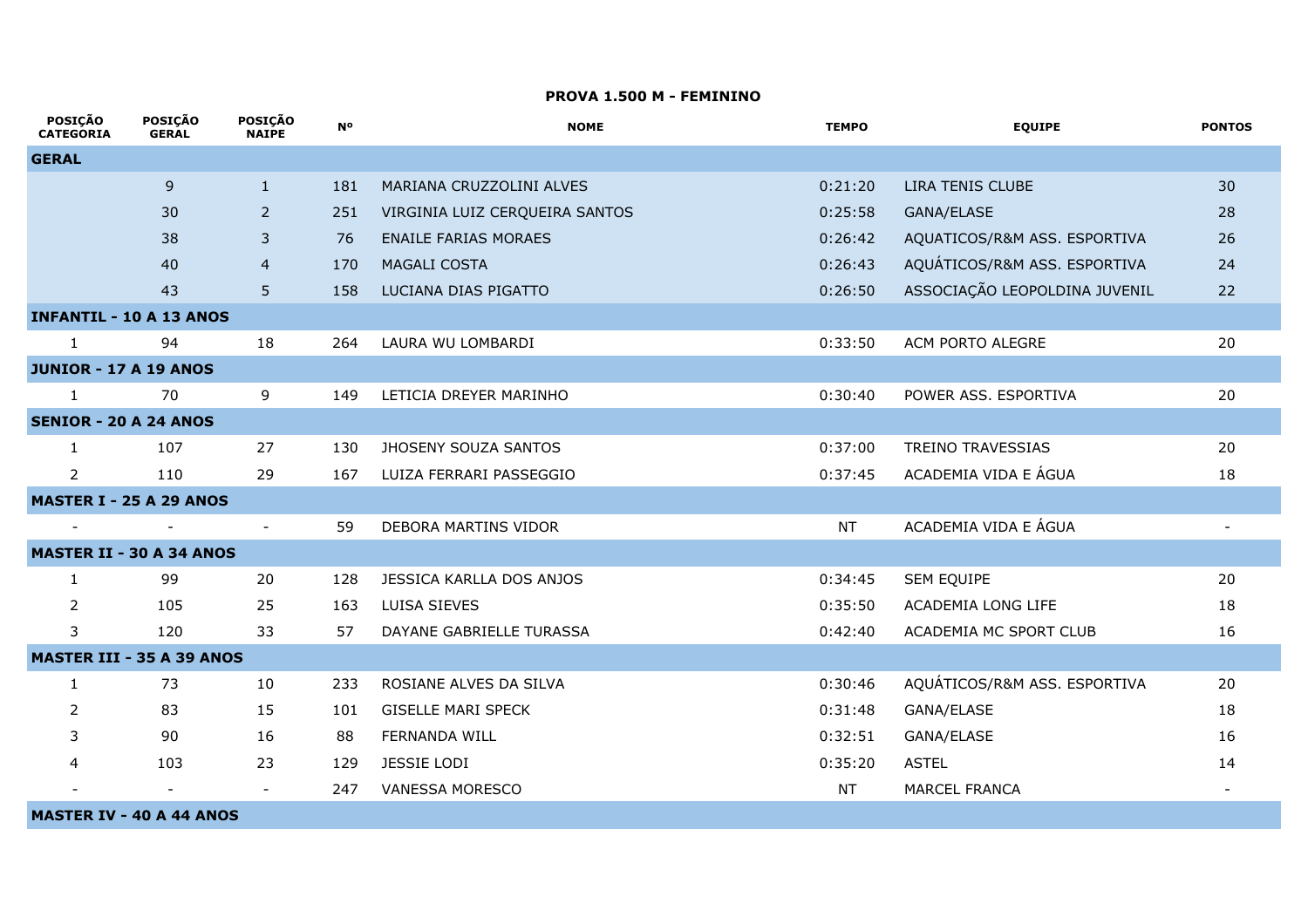#### **PROVA 1.500 M - FEMININO**

| <b>POSIÇAO</b><br><b>CATEGORIA</b> | <b>POSIÇAO</b><br><b>GERAL</b> | <b>POSIÇAO</b><br><b>NAIPE</b> | <b>N°</b> | <b>NOME</b>                    | <b>TEMPO</b> | <b>EQUIPE</b>                 | <b>PONTOS</b>            |
|------------------------------------|--------------------------------|--------------------------------|-----------|--------------------------------|--------------|-------------------------------|--------------------------|
| <b>GERAL</b>                       |                                |                                |           |                                |              |                               |                          |
|                                    | 9                              | $\mathbf{1}$                   | 181       | MARIANA CRUZZOLINI ALVES       | 0:21:20      | LIRA TENIS CLUBE              | 30                       |
|                                    | 30                             | $\overline{2}$                 | 251       | VIRGINIA LUIZ CERQUEIRA SANTOS | 0:25:58      | GANA/ELASE                    | 28                       |
|                                    | 38                             | 3                              | 76        | <b>ENAILE FARIAS MORAES</b>    | 0:26:42      | AQUATICOS/R&M ASS. ESPORTIVA  | 26                       |
|                                    | 40                             | $\overline{4}$                 | 170       | MAGALI COSTA                   | 0:26:43      | AQUÁTICOS/R&M ASS. ESPORTIVA  | 24                       |
|                                    | 43                             | 5                              | 158       | LUCIANA DIAS PIGATTO           | 0:26:50      | ASSOCIAÇÃO LEOPOLDINA JUVENIL | 22                       |
| <b>INFANTIL - 10 A 13 ANOS</b>     |                                |                                |           |                                |              |                               |                          |
| $\mathbf{1}$                       | 94                             | 18                             | 264       | LAURA WU LOMBARDI              | 0:33:50      | ACM PORTO ALEGRE              | 20                       |
| <b>JUNIOR - 17 A 19 ANOS</b>       |                                |                                |           |                                |              |                               |                          |
| $\mathbf{1}$                       | 70                             | 9                              | 149       | LETICIA DREYER MARINHO         | 0:30:40      | POWER ASS. ESPORTIVA          | 20                       |
| <b>SENIOR - 20 A 24 ANOS</b>       |                                |                                |           |                                |              |                               |                          |
| 1                                  | 107                            | 27                             | 130       | JHOSENY SOUZA SANTOS           | 0:37:00      | <b>TREINO TRAVESSIAS</b>      | 20                       |
| $\overline{2}$                     | 110                            | 29                             | 167       | LUIZA FERRARI PASSEGGIO        | 0:37:45      | ACADEMIA VIDA E ÁGUA          | 18                       |
| <b>MASTER I - 25 A 29 ANOS</b>     |                                |                                |           |                                |              |                               |                          |
| $\overline{\phantom{a}}$           | $\overline{\phantom{a}}$       | $\overline{\phantom{a}}$       | 59        | DEBORA MARTINS VIDOR           | <b>NT</b>    | ACADEMIA VIDA E ÁGUA          | $\overline{\phantom{a}}$ |
| <b>MASTER II - 30 A 34 ANOS</b>    |                                |                                |           |                                |              |                               |                          |
| 1                                  | 99                             | 20                             | 128       | JESSICA KARLLA DOS ANJOS       | 0:34:45      | SEM EQUIPE                    | 20                       |
| $\overline{2}$                     | 105                            | 25                             | 163       | LUISA SIEVES                   | 0:35:50      | ACADEMIA LONG LIFE            | 18                       |
| 3                                  | 120                            | 33                             | 57        | DAYANE GABRIELLE TURASSA       | 0:42:40      | ACADEMIA MC SPORT CLUB        | 16                       |
| <b>MASTER III - 35 A 39 ANOS</b>   |                                |                                |           |                                |              |                               |                          |
| 1                                  | 73                             | 10                             | 233       | ROSIANE ALVES DA SILVA         | 0:30:46      | AQUÁTICOS/R&M ASS. ESPORTIVA  | 20                       |
| 2                                  | 83                             | 15                             | 101       | <b>GISELLE MARI SPECK</b>      | 0:31:48      | GANA/ELASE                    | 18                       |
| 3                                  | 90                             | 16                             | 88        | <b>FERNANDA WILL</b>           | 0:32:51      | GANA/ELASE                    | 16                       |
| 4                                  | 103                            | 23                             | 129       | <b>JESSIE LODI</b>             | 0:35:20      | <b>ASTEL</b>                  | 14                       |
|                                    |                                | $\overline{\phantom{a}}$       | 247       | VANESSA MORESCO                | <b>NT</b>    | <b>MARCEL FRANCA</b>          |                          |
| <b>MASTER IV - 40 A 44 ANOS</b>    |                                |                                |           |                                |              |                               |                          |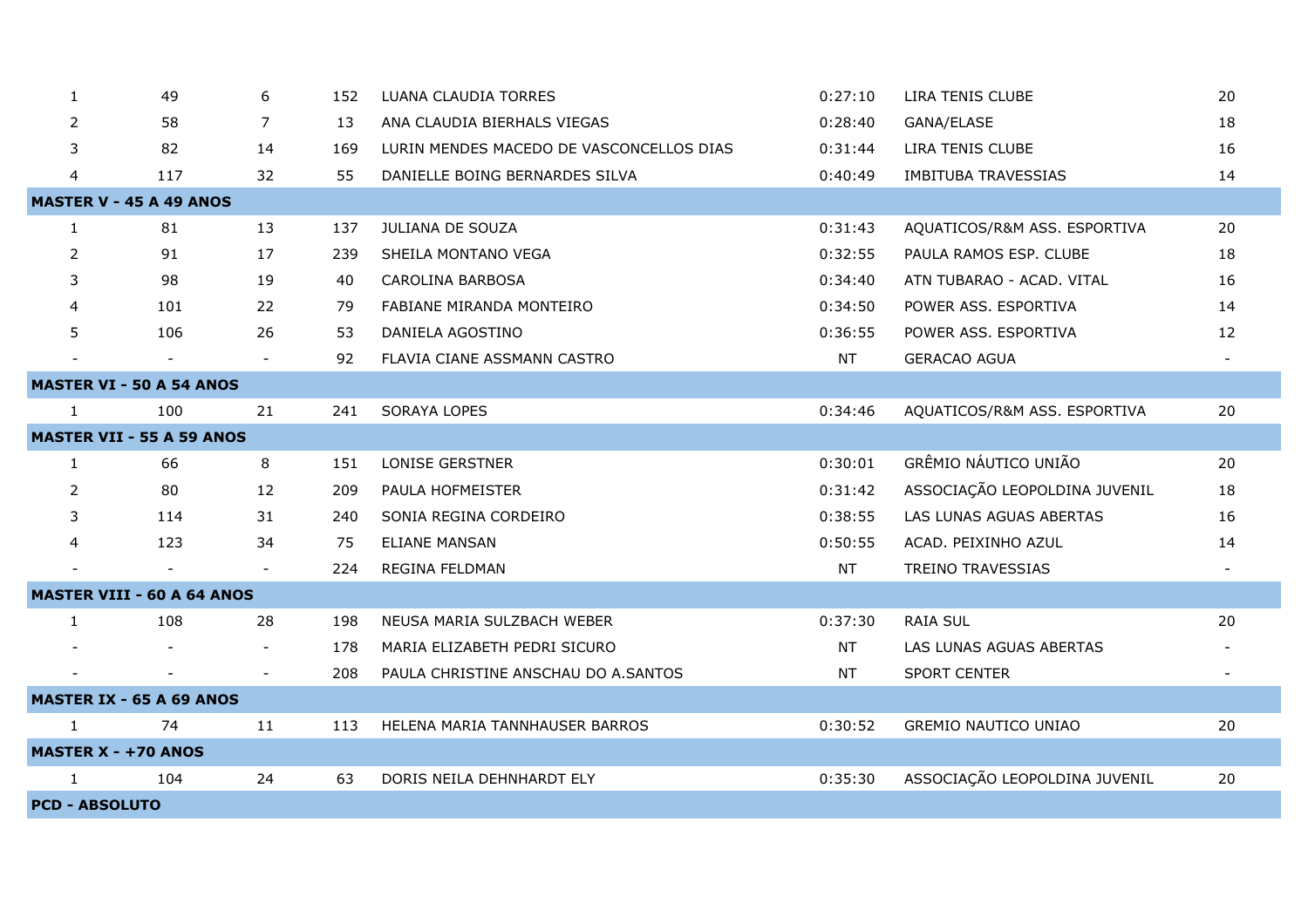| 1                               | 49                                | 6                        | 152 | LUANA CLAUDIA TORRES                     | 0:27:10   | LIRA TENIS CLUBE              | 20 |  |  |  |
|---------------------------------|-----------------------------------|--------------------------|-----|------------------------------------------|-----------|-------------------------------|----|--|--|--|
| 2                               | 58                                | 7                        | 13  | ANA CLAUDIA BIERHALS VIEGAS              | 0:28:40   | GANA/ELASE                    | 18 |  |  |  |
| 3                               | 82                                | 14                       | 169 | LURIN MENDES MACEDO DE VASCONCELLOS DIAS | 0:31:44   | LIRA TENIS CLUBE              | 16 |  |  |  |
| 4                               | 117                               | 32                       | 55  | DANIELLE BOING BERNARDES SILVA           | 0:40:49   | <b>IMBITUBA TRAVESSIAS</b>    | 14 |  |  |  |
|                                 | <b>MASTER V - 45 A 49 ANOS</b>    |                          |     |                                          |           |                               |    |  |  |  |
| $\mathbf{1}$                    | 81                                | 13                       | 137 | JULIANA DE SOUZA                         | 0:31:43   | AQUATICOS/R&M ASS. ESPORTIVA  | 20 |  |  |  |
| $\overline{2}$                  | 91                                | 17                       | 239 | SHEILA MONTANO VEGA                      | 0:32:55   | PAULA RAMOS ESP. CLUBE        | 18 |  |  |  |
| 3                               | 98                                | 19                       | 40  | <b>CAROLINA BARBOSA</b>                  | 0:34:40   | ATN TUBARAO - ACAD. VITAL     | 16 |  |  |  |
| 4                               | 101                               | 22                       | 79  | FABIANE MIRANDA MONTEIRO                 | 0:34:50   | POWER ASS. ESPORTIVA          | 14 |  |  |  |
| 5                               | 106                               | 26                       | 53  | DANIELA AGOSTINO                         | 0:36:55   | POWER ASS. ESPORTIVA          | 12 |  |  |  |
|                                 |                                   | $\overline{\phantom{a}}$ | 92  | FLAVIA CIANE ASSMANN CASTRO              | <b>NT</b> | <b>GERACAO AGUA</b>           |    |  |  |  |
| <b>MASTER VI - 50 A 54 ANOS</b> |                                   |                          |     |                                          |           |                               |    |  |  |  |
| $\mathbf{1}$                    | 100                               | 21                       | 241 | <b>SORAYA LOPES</b>                      | 0:34:46   | AQUATICOS/R&M ASS. ESPORTIVA  | 20 |  |  |  |
|                                 | <b>MASTER VII - 55 A 59 ANOS</b>  |                          |     |                                          |           |                               |    |  |  |  |
| 1                               | 66                                | 8                        | 151 | <b>LONISE GERSTNER</b>                   | 0:30:01   | GRÊMIO NÁUTICO UNIÃO          | 20 |  |  |  |
| $\overline{2}$                  | 80                                | 12                       | 209 | PAULA HOFMEISTER                         | 0:31:42   | ASSOCIAÇÃO LEOPOLDINA JUVENIL | 18 |  |  |  |
| 3                               | 114                               | 31                       | 240 | SONIA REGINA CORDEIRO                    | 0:38:55   | LAS LUNAS AGUAS ABERTAS       | 16 |  |  |  |
| 4                               | 123                               | 34                       | 75  | <b>ELIANE MANSAN</b>                     | 0:50:55   | ACAD. PEIXINHO AZUL           | 14 |  |  |  |
|                                 |                                   |                          | 224 | REGINA FELDMAN                           | <b>NT</b> | TREINO TRAVESSIAS             |    |  |  |  |
|                                 | <b>MASTER VIII - 60 A 64 ANOS</b> |                          |     |                                          |           |                               |    |  |  |  |
| $\mathbf{1}$                    | 108                               | 28                       | 198 | NEUSA MARIA SULZBACH WEBER               | 0:37:30   | <b>RAIA SUL</b>               | 20 |  |  |  |
|                                 |                                   | $\overline{\phantom{a}}$ | 178 | MARIA ELIZABETH PEDRI SICURO             | NT.       | LAS LUNAS AGUAS ABERTAS       |    |  |  |  |
|                                 | $\overline{\phantom{a}}$          | $\overline{\phantom{a}}$ | 208 | PAULA CHRISTINE ANSCHAU DO A.SANTOS      | NT        | <b>SPORT CENTER</b>           |    |  |  |  |
|                                 | <b>MASTER IX - 65 A 69 ANOS</b>   |                          |     |                                          |           |                               |    |  |  |  |
| $\mathbf{1}$                    | 74                                | 11                       | 113 | HELENA MARIA TANNHAUSER BARROS           | 0:30:52   | <b>GREMIO NAUTICO UNIAO</b>   | 20 |  |  |  |
| <b>MASTER X - +70 ANOS</b>      |                                   |                          |     |                                          |           |                               |    |  |  |  |
| $\mathbf{1}$                    | 104                               | 24                       | 63  | DORIS NEILA DEHNHARDT ELY                | 0:35:30   | ASSOCIAÇÃO LEOPOLDINA JUVENIL | 20 |  |  |  |
| <b>PCD - ABSOLUTO</b>           |                                   |                          |     |                                          |           |                               |    |  |  |  |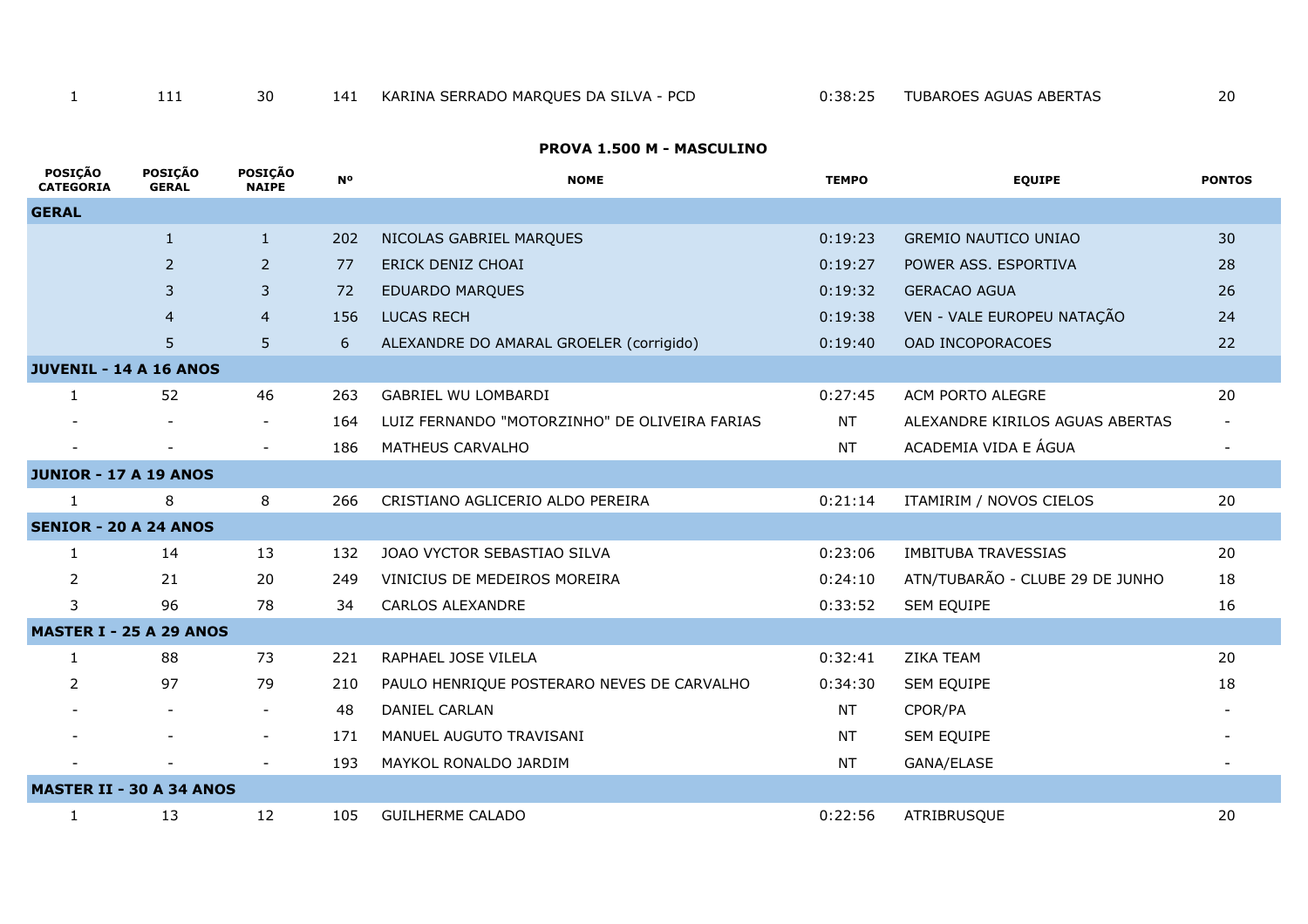## **PROVA 1.500 M - MASCULINO**

| <b>POSIÇÃO</b><br><b>CATEGORIA</b> | <b>POSIÇÃO</b><br><b>GERAL</b> | <b>POSIÇÃO</b><br><b>NAIPE</b> | <b>N°</b> | <b>NOME</b>                                   | <b>TEMPO</b> | <b>EQUIPE</b>                   | <b>PONTOS</b>            |
|------------------------------------|--------------------------------|--------------------------------|-----------|-----------------------------------------------|--------------|---------------------------------|--------------------------|
| <b>GERAL</b>                       |                                |                                |           |                                               |              |                                 |                          |
|                                    | $\mathbf{1}$                   | $\mathbf{1}$                   | 202       | NICOLAS GABRIEL MARQUES                       | 0:19:23      | <b>GREMIO NAUTICO UNIAO</b>     | 30                       |
|                                    | $\overline{2}$                 | 2                              | 77        | ERICK DENIZ CHOAI                             | 0:19:27      | POWER ASS. ESPORTIVA            | 28                       |
|                                    | 3                              | 3                              | 72        | <b>EDUARDO MARQUES</b>                        | 0:19:32      | <b>GERACAO AGUA</b>             | 26                       |
|                                    | $\overline{4}$                 | $\overline{4}$                 | 156       | <b>LUCAS RECH</b>                             | 0:19:38      | VEN - VALE EUROPEU NATAÇÃO      | 24                       |
|                                    | 5 <sup>5</sup>                 | 5                              | 6         | ALEXANDRE DO AMARAL GROELER (corrigido)       | 0:19:40      | OAD INCOPORACOES                | 22                       |
| <b>JUVENIL - 14 A 16 ANOS</b>      |                                |                                |           |                                               |              |                                 |                          |
| $\mathbf{1}$                       | 52                             | 46                             | 263       | GABRIEL WU LOMBARDI                           | 0:27:45      | ACM PORTO ALEGRE                | 20                       |
|                                    | $\overline{\phantom{a}}$       | $\overline{\phantom{a}}$       | 164       | LUIZ FERNANDO "MOTORZINHO" DE OLIVEIRA FARIAS | <b>NT</b>    | ALEXANDRE KIRILOS AGUAS ABERTAS |                          |
|                                    | $\overline{\phantom{a}}$       | $\overline{\phantom{a}}$       | 186       | MATHEUS CARVALHO                              | <b>NT</b>    | ACADEMIA VIDA E ÁGUA            | $\overline{\phantom{a}}$ |
| <b>JUNIOR - 17 A 19 ANOS</b>       |                                |                                |           |                                               |              |                                 |                          |
| 1                                  | 8                              | 8                              | 266       | CRISTIANO AGLICERIO ALDO PEREIRA              | 0:21:14      | ITAMIRIM / NOVOS CIELOS         | 20                       |
| <b>SENIOR - 20 A 24 ANOS</b>       |                                |                                |           |                                               |              |                                 |                          |
| $\mathbf{1}$                       | 14                             | 13                             | 132       | JOAO VYCTOR SEBASTIAO SILVA                   | 0:23:06      | <b>IMBITUBA TRAVESSIAS</b>      | 20                       |
| 2                                  | 21                             | 20                             | 249       | VINICIUS DE MEDEIROS MOREIRA                  | 0:24:10      | ATN/TUBARÃO - CLUBE 29 DE JUNHO | 18                       |
| 3                                  | 96                             | 78                             | 34        | CARLOS ALEXANDRE                              | 0:33:52      | SEM EQUIPE                      | 16                       |
| <b>MASTER I - 25 A 29 ANOS</b>     |                                |                                |           |                                               |              |                                 |                          |
| $\mathbf{1}$                       | 88                             | 73                             | 221       | RAPHAEL JOSE VILELA                           | 0:32:41      | <b>ZIKA TEAM</b>                | 20                       |
| 2                                  | 97                             | 79                             | 210       | PAULO HENRIQUE POSTERARO NEVES DE CARVALHO    | 0:34:30      | SEM EQUIPE                      | 18                       |
|                                    | $\overline{\phantom{a}}$       | $\overline{\phantom{a}}$       | 48        | DANIEL CARLAN                                 | <b>NT</b>    | CPOR/PA                         |                          |
|                                    |                                | $\overline{\phantom{a}}$       | 171       | MANUEL AUGUTO TRAVISANI                       | <b>NT</b>    | SEM EQUIPE                      |                          |
|                                    |                                | $\overline{\phantom{a}}$       | 193       | MAYKOL RONALDO JARDIM                         | <b>NT</b>    | GANA/ELASE                      | $\overline{\phantom{a}}$ |
| <b>MASTER II - 30 A 34 ANOS</b>    |                                |                                |           |                                               |              |                                 |                          |
| 1                                  | 13                             | 12                             | 105       | <b>GUILHERME CALADO</b>                       | 0:22:56      | ATRIBRUSQUE                     | 20                       |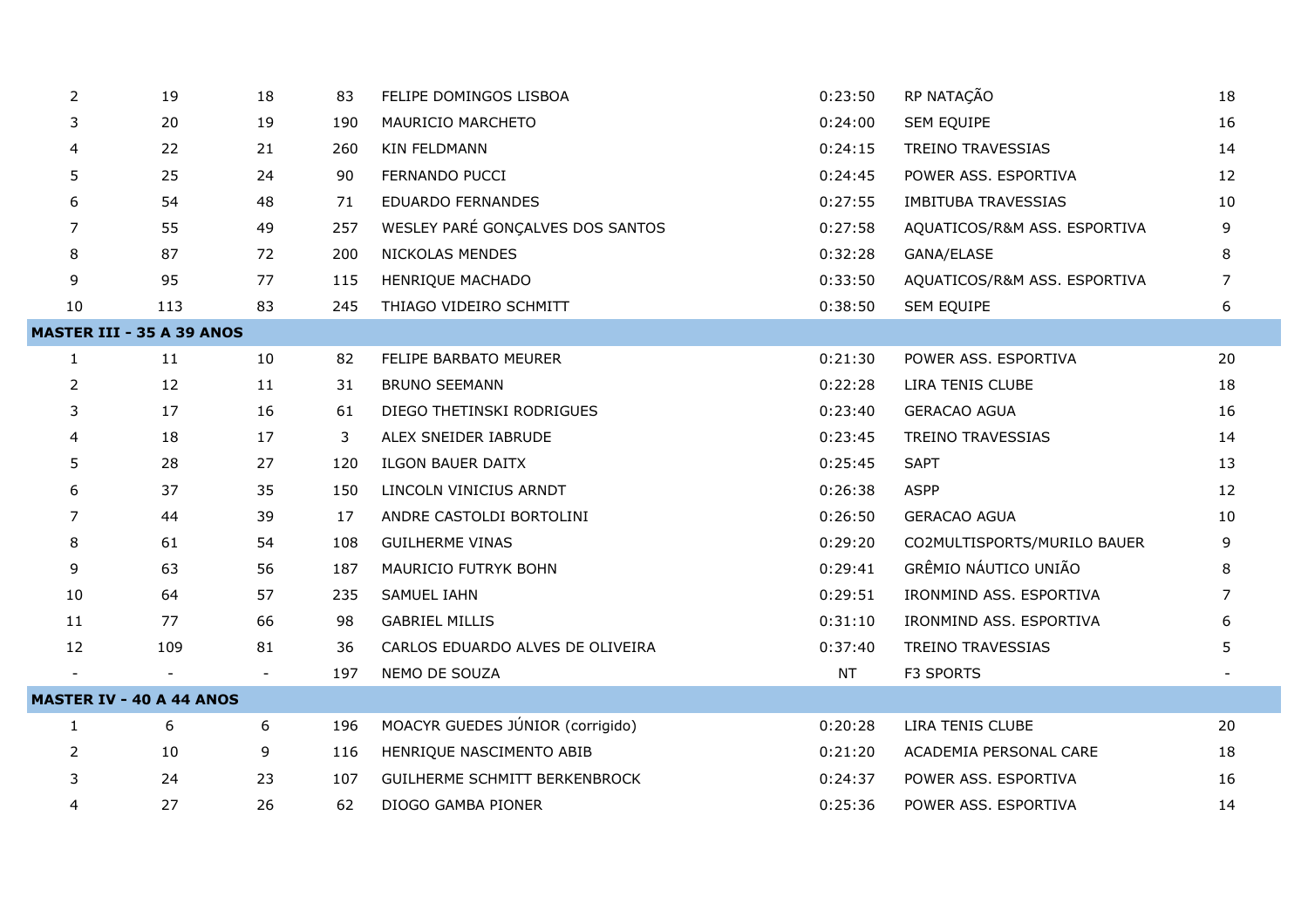| 2                        | 19                               | 18                       | 83  | FELIPE DOMINGOS LISBOA               | 0:23:50   | RP NATAÇÃO                   | 18             |
|--------------------------|----------------------------------|--------------------------|-----|--------------------------------------|-----------|------------------------------|----------------|
| 3                        | 20                               | 19                       | 190 | MAURICIO MARCHETO                    | 0:24:00   | SEM EQUIPE                   | 16             |
| 4                        | 22                               | 21                       | 260 | KIN FELDMANN                         | 0:24:15   | <b>TREINO TRAVESSIAS</b>     | 14             |
| 5                        | 25                               | 24                       | 90  | FERNANDO PUCCI                       | 0:24:45   | POWER ASS. ESPORTIVA         | 12             |
| 6                        | 54                               | 48                       | 71  | <b>EDUARDO FERNANDES</b>             | 0:27:55   | <b>IMBITUBA TRAVESSIAS</b>   | 10             |
| $\overline{7}$           | 55                               | 49                       | 257 | WESLEY PARÉ GONÇALVES DOS SANTOS     | 0:27:58   | AQUATICOS/R&M ASS. ESPORTIVA | 9              |
| 8                        | 87                               | 72                       | 200 | NICKOLAS MENDES                      | 0:32:28   | GANA/ELASE                   | 8              |
| 9                        | 95                               | 77                       | 115 | HENRIQUE MACHADO                     | 0:33:50   | AQUATICOS/R&M ASS. ESPORTIVA | 7              |
| 10                       | 113                              | 83                       | 245 | THIAGO VIDEIRO SCHMITT               | 0:38:50   | SEM EQUIPE                   | 6              |
|                          | <b>MASTER III - 35 A 39 ANOS</b> |                          |     |                                      |           |                              |                |
| $\mathbf{1}$             | 11                               | 10                       | 82  | FELIPE BARBATO MEURER                | 0:21:30   | POWER ASS. ESPORTIVA         | 20             |
| $\overline{2}$           | 12                               | 11                       | 31  | <b>BRUNO SEEMANN</b>                 | 0:22:28   | LIRA TENIS CLUBE             | 18             |
| 3                        | 17                               | 16                       | 61  | DIEGO THETINSKI RODRIGUES            | 0:23:40   | <b>GERACAO AGUA</b>          | 16             |
| 4                        | 18                               | 17                       | 3   | ALEX SNEIDER IABRUDE                 | 0:23:45   | <b>TREINO TRAVESSIAS</b>     | 14             |
| 5                        | 28                               | 27                       | 120 | <b>ILGON BAUER DAITX</b>             | 0:25:45   | <b>SAPT</b>                  | 13             |
| 6                        | 37                               | 35                       | 150 | LINCOLN VINICIUS ARNDT               | 0:26:38   | <b>ASPP</b>                  | 12             |
| 7                        | 44                               | 39                       | 17  | ANDRE CASTOLDI BORTOLINI             | 0:26:50   | <b>GERACAO AGUA</b>          | 10             |
| 8                        | 61                               | 54                       | 108 | <b>GUILHERME VINAS</b>               | 0:29:20   | CO2MULTISPORTS/MURILO BAUER  | 9              |
| 9                        | 63                               | 56                       | 187 | MAURICIO FUTRYK BOHN                 | 0:29:41   | GRÊMIO NÁUTICO UNIÃO         | 8              |
| 10                       | 64                               | 57                       | 235 | <b>SAMUEL IAHN</b>                   | 0:29:51   | IRONMIND ASS. ESPORTIVA      | $\overline{7}$ |
| 11                       | 77                               | 66                       | 98  | <b>GABRIEL MILLIS</b>                | 0:31:10   | IRONMIND ASS. ESPORTIVA      | 6              |
| 12                       | 109                              | 81                       | 36  | CARLOS EDUARDO ALVES DE OLIVEIRA     | 0:37:40   | <b>TREINO TRAVESSIAS</b>     | 5              |
| $\overline{\phantom{a}}$ |                                  | $\overline{\phantom{a}}$ | 197 | NEMO DE SOUZA                        | <b>NT</b> | F3 SPORTS                    |                |
|                          | <b>MASTER IV - 40 A 44 ANOS</b>  |                          |     |                                      |           |                              |                |
| $\mathbf{1}$             | 6                                | 6                        | 196 | MOACYR GUEDES JÚNIOR (corrigido)     | 0:20:28   | LIRA TENIS CLUBE             | 20             |
| 2                        | 10                               | 9                        | 116 | HENRIQUE NASCIMENTO ABIB             | 0:21:20   | ACADEMIA PERSONAL CARE       | 18             |
| 3                        | 24                               | 23                       | 107 | <b>GUILHERME SCHMITT BERKENBROCK</b> | 0:24:37   | POWER ASS. ESPORTIVA         | 16             |
| $\overline{4}$           | 27                               | 26                       | 62  | DIOGO GAMBA PIONER                   | 0:25:36   | POWER ASS. ESPORTIVA         | 14             |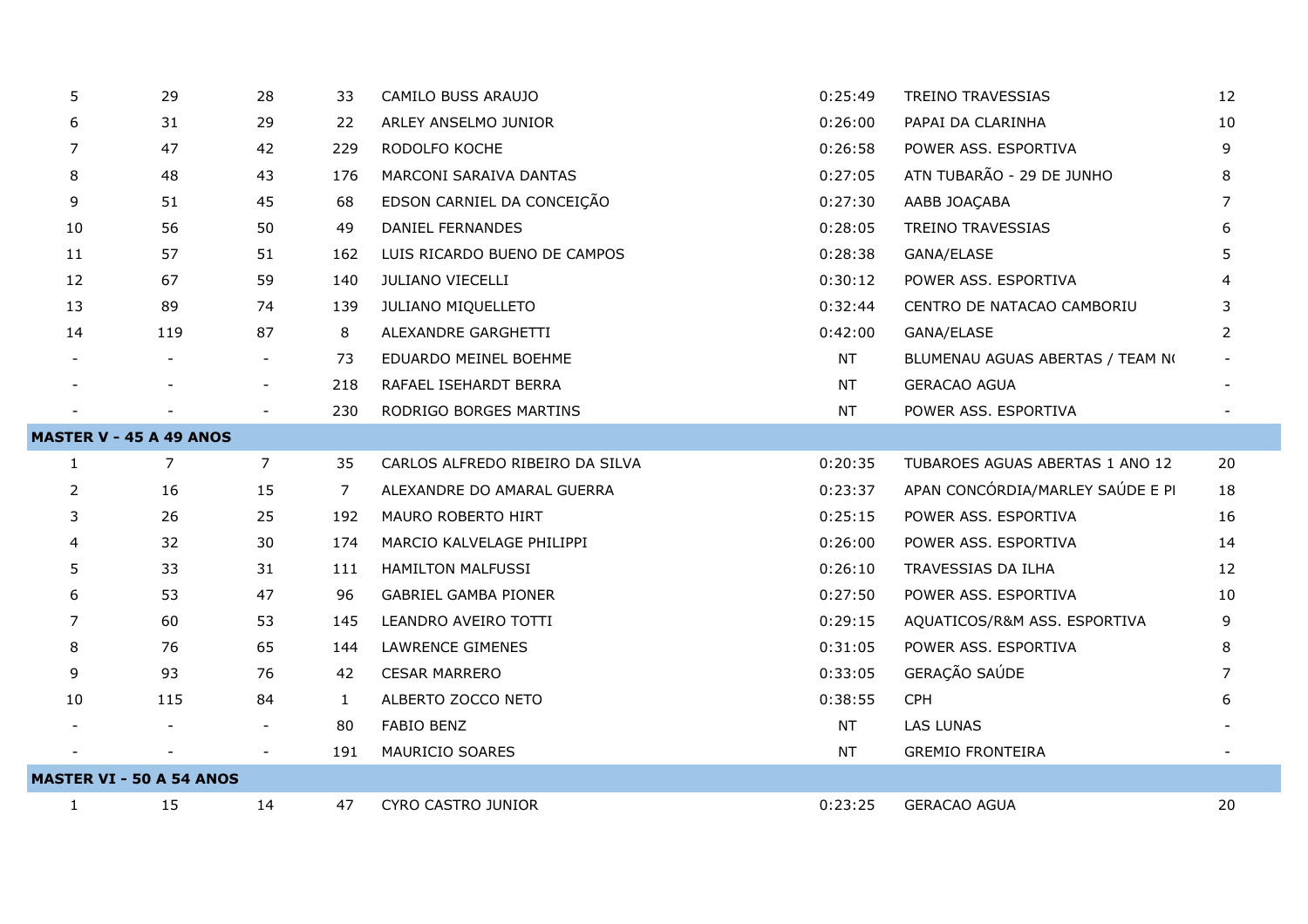| 5            | 29                              | 28                       |              | CAMILO BUSS ARAUJO              | 0:25:49   | <b>TREINO TRAVESSIAS</b>         | 12             |
|--------------|---------------------------------|--------------------------|--------------|---------------------------------|-----------|----------------------------------|----------------|
|              |                                 |                          | 33           |                                 |           |                                  |                |
| 6            | 31                              | 29                       | 22           | ARLEY ANSELMO JUNIOR            | 0:26:00   | PAPAI DA CLARINHA                | 10             |
| 7            | 47                              | 42                       | 229          | RODOLFO KOCHE                   | 0:26:58   | POWER ASS. ESPORTIVA             | 9              |
| 8            | 48                              | 43                       | 176          | MARCONI SARAIVA DANTAS          | 0:27:05   | ATN TUBARÃO - 29 DE JUNHO        | 8              |
| 9            | 51                              | 45                       | 68           | EDSON CARNIEL DA CONCEIÇÃO      | 0:27:30   | AABB JOAÇABA                     | 7              |
| 10           | 56                              | 50                       | 49           | <b>DANIEL FERNANDES</b>         | 0:28:05   | TREINO TRAVESSIAS                | 6              |
| 11           | 57                              | 51                       | 162          | LUIS RICARDO BUENO DE CAMPOS    | 0:28:38   | GANA/ELASE                       | 5              |
| 12           | 67                              | 59                       | 140          | JULIANO VIECELLI                | 0:30:12   | POWER ASS. ESPORTIVA             | 4              |
| 13           | 89                              | 74                       | 139          | JULIANO MIQUELLETO              | 0:32:44   | CENTRO DE NATACAO CAMBORIU       | 3              |
| 14           | 119                             | 87                       | 8            | ALEXANDRE GARGHETTI             | 0:42:00   | GANA/ELASE                       | $\overline{2}$ |
|              |                                 |                          | 73           | EDUARDO MEINEL BOEHME           | <b>NT</b> | BLUMENAU AGUAS ABERTAS / TEAM NO |                |
|              |                                 | $\overline{\phantom{a}}$ | 218          | RAFAEL ISEHARDT BERRA           | NT        | <b>GERACAO AGUA</b>              |                |
|              |                                 | $\overline{\phantom{a}}$ | 230          | RODRIGO BORGES MARTINS          | <b>NT</b> | POWER ASS. ESPORTIVA             |                |
|              | <b>MASTER V - 45 A 49 ANOS</b>  |                          |              |                                 |           |                                  |                |
| $\mathbf{1}$ | $\overline{7}$                  | $\overline{7}$           | 35           | CARLOS ALFREDO RIBEIRO DA SILVA | 0:20:35   | TUBAROES AGUAS ABERTAS 1 ANO 12  | 20             |
| 2            | 16                              | 15                       | 7            | ALEXANDRE DO AMARAL GUERRA      | 0:23:37   | APAN CONCÓRDIA/MARLEY SAÚDE E PI | 18             |
| 3            | 26                              | 25                       | 192          | MAURO ROBERTO HIRT              | 0:25:15   | POWER ASS. ESPORTIVA             | 16             |
| 4            | 32                              | 30                       | 174          | MARCIO KALVELAGE PHILIPPI       | 0:26:00   | POWER ASS. ESPORTIVA             | 14             |
| 5            | 33                              | 31                       | 111          | <b>HAMILTON MALFUSSI</b>        |           |                                  | 12             |
| 6            |                                 |                          |              |                                 | 0:26:10   | TRAVESSIAS DA ILHA               |                |
|              | 53                              | 47                       | 96           | <b>GABRIEL GAMBA PIONER</b>     | 0:27:50   | POWER ASS. ESPORTIVA             | 10             |
| 7            | 60                              | 53                       | 145          | LEANDRO AVEIRO TOTTI            | 0:29:15   | AQUATICOS/R&M ASS. ESPORTIVA     | 9              |
| 8            | 76                              | 65                       | 144          | <b>LAWRENCE GIMENES</b>         | 0:31:05   | POWER ASS. ESPORTIVA             | 8              |
| 9            | 93                              | 76                       | 42           | <b>CESAR MARRERO</b>            | 0:33:05   | GERAÇÃO SAÚDE                    | 7              |
| 10           | 115                             | 84                       | $\mathbf{1}$ | ALBERTO ZOCCO NETO              | 0:38:55   | <b>CPH</b>                       | 6              |
|              |                                 | $\overline{\phantom{a}}$ | 80           | <b>FABIO BENZ</b>               | <b>NT</b> | LAS LUNAS                        |                |
|              |                                 |                          | 191          | MAURICIO SOARES                 | <b>NT</b> | <b>GREMIO FRONTEIRA</b>          |                |
|              | <b>MASTER VI - 50 A 54 ANOS</b> |                          |              |                                 |           |                                  |                |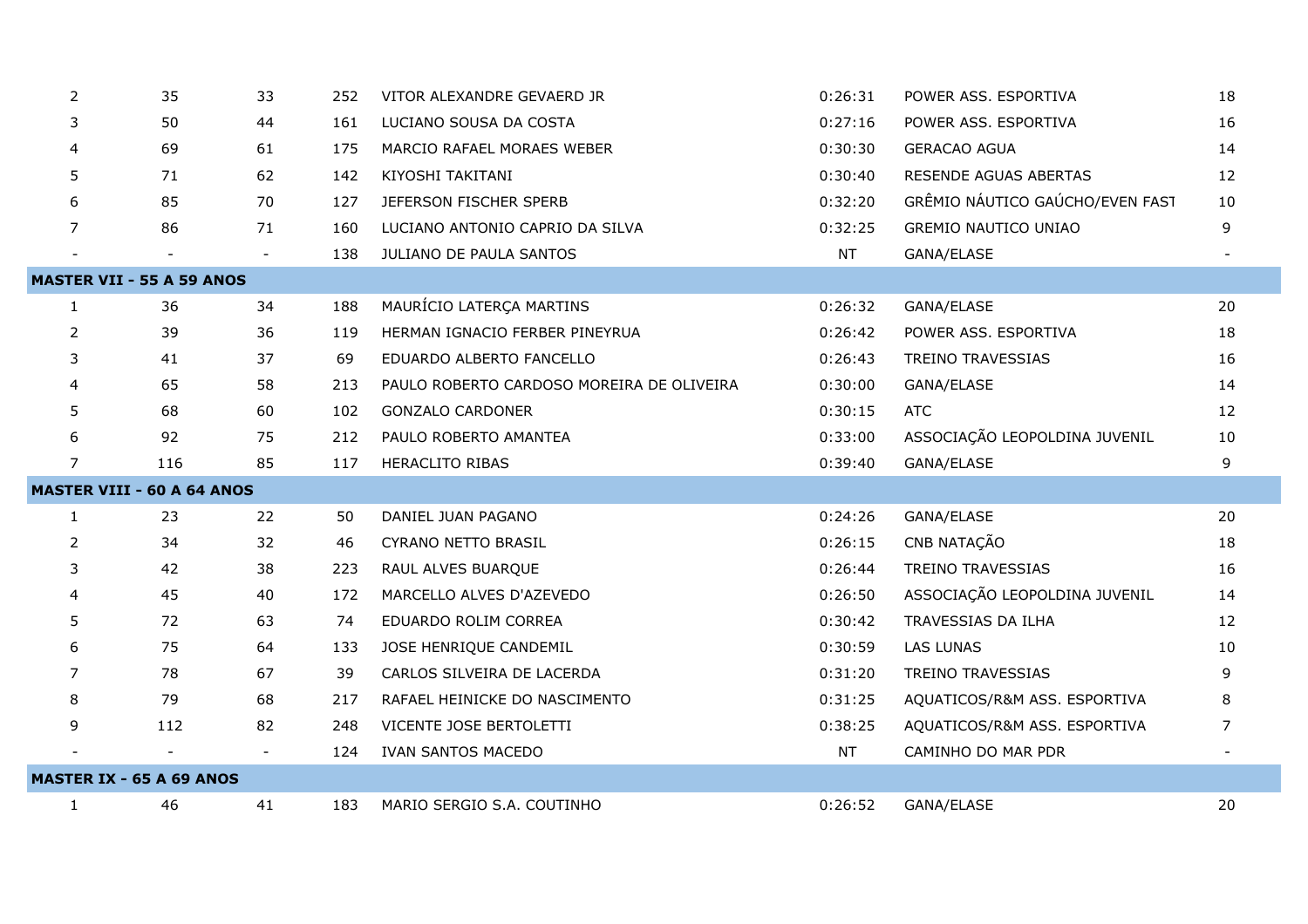| 2                                 | 35                               | 33 | 252 | VITOR ALEXANDRE GEVAERD JR                | 0:26:31   | POWER ASS. ESPORTIVA            | 18 |  |  |
|-----------------------------------|----------------------------------|----|-----|-------------------------------------------|-----------|---------------------------------|----|--|--|
| 3                                 | 50                               | 44 | 161 | LUCIANO SOUSA DA COSTA                    | 0:27:16   | POWER ASS. ESPORTIVA            | 16 |  |  |
| $\overline{4}$                    | 69                               | 61 | 175 | MARCIO RAFAEL MORAES WEBER                | 0:30:30   | <b>GERACAO AGUA</b>             | 14 |  |  |
| 5                                 | 71                               | 62 | 142 | KIYOSHI TAKITANI                          | 0:30:40   | RESENDE AGUAS ABERTAS           | 12 |  |  |
| 6                                 | 85                               | 70 | 127 | JEFERSON FISCHER SPERB                    | 0:32:20   | GRÊMIO NÁUTICO GAÚCHO/EVEN FAST | 10 |  |  |
| $\overline{7}$                    | 86                               | 71 | 160 | LUCIANO ANTONIO CAPRIO DA SILVA           | 0:32:25   | <b>GREMIO NAUTICO UNIAO</b>     | 9  |  |  |
|                                   |                                  |    | 138 | JULIANO DE PAULA SANTOS                   | <b>NT</b> | GANA/ELASE                      |    |  |  |
|                                   | <b>MASTER VII - 55 A 59 ANOS</b> |    |     |                                           |           |                                 |    |  |  |
| $\mathbf{1}$                      | 36                               | 34 | 188 | MAURÍCIO LATERÇA MARTINS                  | 0:26:32   | GANA/ELASE                      | 20 |  |  |
| 2                                 | 39                               | 36 | 119 | HERMAN IGNACIO FERBER PINEYRUA            | 0:26:42   | POWER ASS. ESPORTIVA            | 18 |  |  |
| 3                                 | 41                               | 37 | 69  | EDUARDO ALBERTO FANCELLO                  | 0:26:43   | <b>TREINO TRAVESSIAS</b>        | 16 |  |  |
| $\overline{4}$                    | 65                               | 58 | 213 | PAULO ROBERTO CARDOSO MOREIRA DE OLIVEIRA | 0:30:00   | GANA/ELASE                      | 14 |  |  |
| 5                                 | 68                               | 60 | 102 | <b>GONZALO CARDONER</b>                   | 0:30:15   | <b>ATC</b>                      | 12 |  |  |
| 6                                 | 92                               | 75 | 212 | PAULO ROBERTO AMANTEA                     | 0:33:00   | ASSOCIAÇÃO LEOPOLDINA JUVENIL   | 10 |  |  |
| $\overline{7}$                    | 116                              | 85 | 117 | <b>HERACLITO RIBAS</b>                    | 0:39:40   | GANA/ELASE                      | 9  |  |  |
| <b>MASTER VIII - 60 A 64 ANOS</b> |                                  |    |     |                                           |           |                                 |    |  |  |
|                                   |                                  |    |     |                                           |           | GANA/ELASE                      |    |  |  |
| $\mathbf{1}$                      | 23                               | 22 | 50  | DANIEL JUAN PAGANO                        | 0:24:26   |                                 | 20 |  |  |
| 2                                 | 34                               | 32 | 46  | <b>CYRANO NETTO BRASIL</b>                | 0:26:15   | CNB NATAÇÃO                     | 18 |  |  |
| 3                                 | 42                               | 38 | 223 | RAUL ALVES BUARQUE                        | 0:26:44   | <b>TREINO TRAVESSIAS</b>        | 16 |  |  |
| 4                                 | 45                               | 40 | 172 | MARCELLO ALVES D'AZEVEDO                  | 0:26:50   | ASSOCIAÇÃO LEOPOLDINA JUVENIL   | 14 |  |  |
| 5                                 | 72                               | 63 | 74  | EDUARDO ROLIM CORREA                      | 0:30:42   | TRAVESSIAS DA ILHA              | 12 |  |  |
| 6                                 | 75                               | 64 | 133 | JOSE HENRIQUE CANDEMIL                    | 0:30:59   | <b>LAS LUNAS</b>                | 10 |  |  |
| 7                                 | 78                               | 67 | 39  | CARLOS SILVEIRA DE LACERDA                | 0:31:20   | <b>TREINO TRAVESSIAS</b>        | 9  |  |  |
| 8                                 | 79                               | 68 | 217 | RAFAEL HEINICKE DO NASCIMENTO             | 0:31:25   | AQUATICOS/R&M ASS. ESPORTIVA    | 8  |  |  |
| 9                                 | 112                              | 82 | 248 | VICENTE JOSE BERTOLETTI                   | 0:38:25   | AQUATICOS/R&M ASS. ESPORTIVA    | 7  |  |  |
|                                   |                                  |    | 124 | <b>IVAN SANTOS MACEDO</b>                 | <b>NT</b> | CAMINHO DO MAR PDR              |    |  |  |
|                                   | <b>MASTER IX - 65 A 69 ANOS</b>  |    |     |                                           |           |                                 |    |  |  |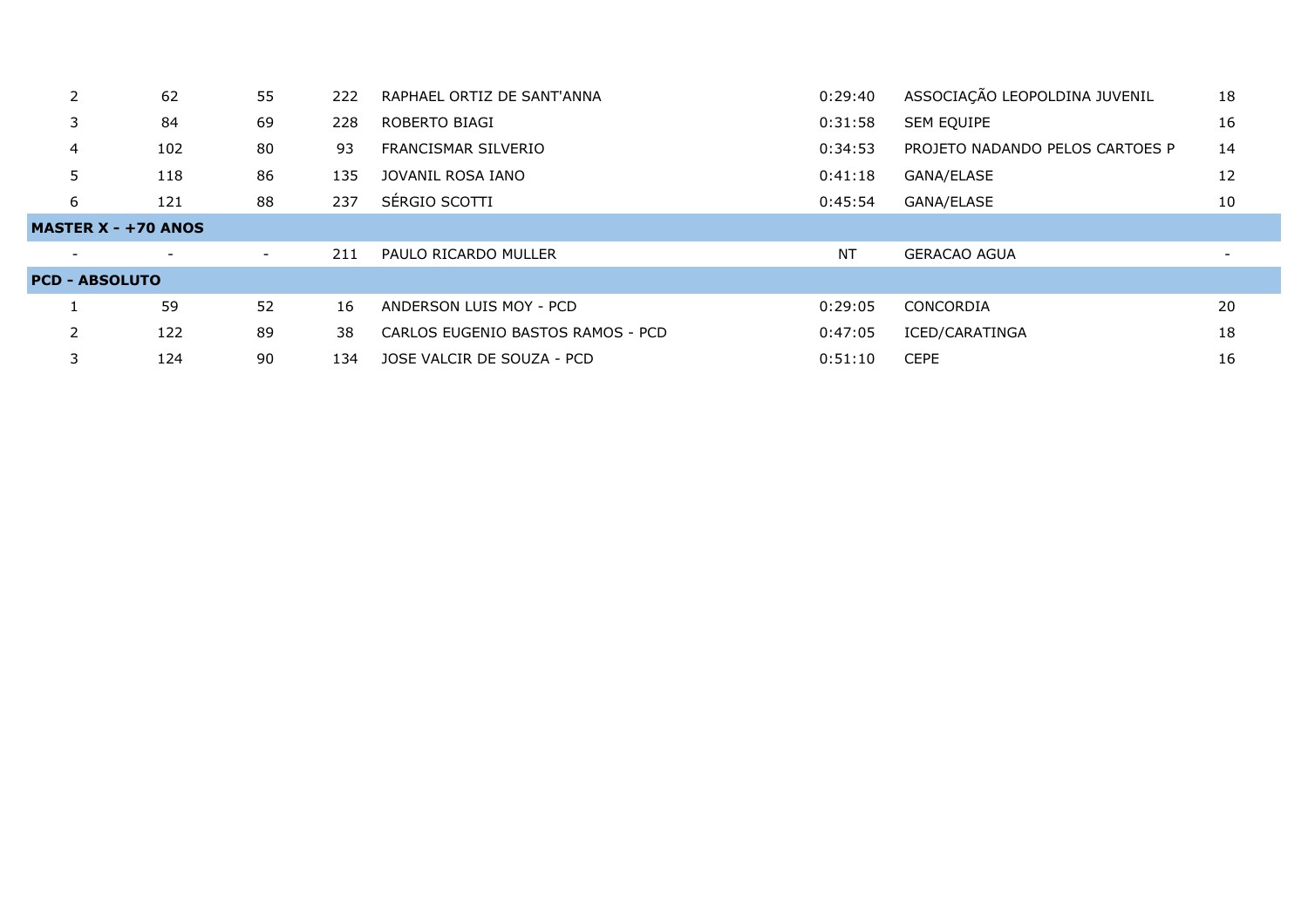|                                         | 62  | 55 | 222 | RAPHAEL ORTIZ DE SANT'ANNA        | 0:29:40   | ASSOCIAÇÃO LEOPOLDINA JUVENIL   | 18 |
|-----------------------------------------|-----|----|-----|-----------------------------------|-----------|---------------------------------|----|
|                                         | 84  | 69 | 228 | ROBERTO BIAGI                     | 0:31:58   | <b>SEM EQUIPE</b>               | 16 |
| 4                                       | 102 | 80 | 93  | FRANCISMAR SILVERIO               | 0:34:53   | PROJETO NADANDO PELOS CARTOES P | 14 |
|                                         | 118 | 86 | 135 | JOVANIL ROSA IANO                 | 0:41:18   | GANA/ELASE                      | 12 |
| 6                                       | 121 | 88 | 237 | SÉRGIO SCOTTI                     | 0:45:54   | GANA/ELASE                      | 10 |
| <b>MASTER <math>X - +70</math> ANOS</b> |     |    |     |                                   |           |                                 |    |
|                                         |     | -  | 211 | PAULO RICARDO MULLER              | <b>NT</b> | <b>GERACAO AGUA</b>             |    |
| <b>PCD - ABSOLUTO</b>                   |     |    |     |                                   |           |                                 |    |
|                                         | 59  | 52 | 16  | ANDERSON LUIS MOY - PCD           | 0:29:05   | CONCORDIA                       | 20 |
|                                         | 122 | 89 | 38  | CARLOS EUGENIO BASTOS RAMOS - PCD | 0:47:05   | ICED/CARATINGA                  | 18 |
|                                         | 124 | 90 | 134 | JOSE VALCIR DE SOUZA - PCD        | 0:51:10   | <b>CEPE</b>                     | 16 |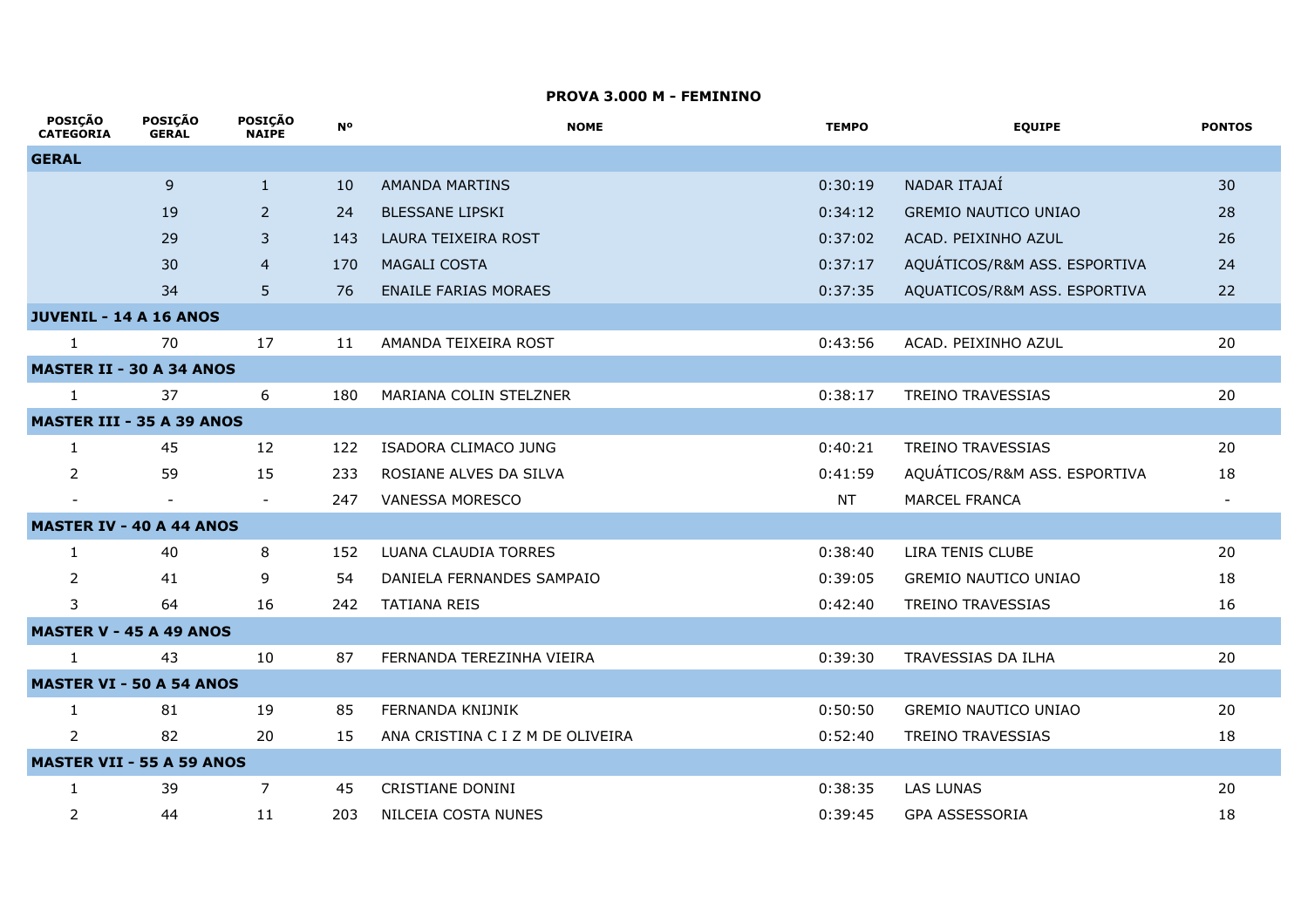### **PROVA 3.000 M - FEMININO**

 $\overline{a}$ 

 $\overline{a}$ 

| <b>POSIÇAO</b><br><b>CATEGORIA</b> | <b>POSIÇAO</b><br><b>GERAL</b> | <b>POSIÇAO</b><br><b>NAIPE</b> | <b>N°</b> | <b>NOME</b>                      | <b>TEMPO</b> | <b>EQUIPE</b>                | <b>PONTOS</b>            |
|------------------------------------|--------------------------------|--------------------------------|-----------|----------------------------------|--------------|------------------------------|--------------------------|
| <b>GERAL</b>                       |                                |                                |           |                                  |              |                              |                          |
|                                    | 9                              | $\mathbf{1}$                   | 10        | <b>AMANDA MARTINS</b>            | 0:30:19      | NADAR ITAJAÍ                 | 30                       |
|                                    | 19                             | $\overline{2}$                 | 24        | <b>BLESSANE LIPSKI</b>           | 0:34:12      | <b>GREMIO NAUTICO UNIAO</b>  | 28                       |
|                                    | 29                             | 3                              | 143       | LAURA TEIXEIRA ROST              | 0:37:02      | ACAD. PEIXINHO AZUL          | 26                       |
|                                    | 30                             | $\overline{4}$                 | 170       | <b>MAGALI COSTA</b>              | 0:37:17      | AQUÁTICOS/R&M ASS. ESPORTIVA | 24                       |
|                                    | 34                             | 5                              | 76        | <b>ENAILE FARIAS MORAES</b>      | 0:37:35      | AQUATICOS/R&M ASS. ESPORTIVA | 22                       |
| <b>JUVENIL - 14 A 16 ANOS</b>      |                                |                                |           |                                  |              |                              |                          |
| $\mathbf{1}$                       | 70                             | 17                             | 11        | AMANDA TEIXEIRA ROST             | 0:43:56      | ACAD. PEIXINHO AZUL          | 20                       |
| <b>MASTER II - 30 A 34 ANOS</b>    |                                |                                |           |                                  |              |                              |                          |
| $\mathbf{1}$                       | 37                             | 6                              | 180       | MARIANA COLIN STELZNER           | 0:38:17      | <b>TREINO TRAVESSIAS</b>     | 20                       |
| <b>MASTER III - 35 A 39 ANOS</b>   |                                |                                |           |                                  |              |                              |                          |
| $\mathbf{1}$                       | 45                             | 12                             | 122       | ISADORA CLIMACO JUNG             | 0:40:21      | <b>TREINO TRAVESSIAS</b>     | 20                       |
| 2                                  | 59                             | 15                             | 233       | ROSIANE ALVES DA SILVA           | 0:41:59      | AQUÁTICOS/R&M ASS. ESPORTIVA | 18                       |
| $\overline{\phantom{a}}$           |                                | $\overline{\phantom{a}}$       | 247       | <b>VANESSA MORESCO</b>           | <b>NT</b>    | <b>MARCEL FRANCA</b>         | $\overline{\phantom{a}}$ |
| <b>MASTER IV - 40 A 44 ANOS</b>    |                                |                                |           |                                  |              |                              |                          |
| 1                                  | 40                             | 8                              | 152       | LUANA CLAUDIA TORRES             | 0:38:40      | LIRA TENIS CLUBE             | 20                       |
| 2                                  | 41                             | 9                              | 54        | DANIELA FERNANDES SAMPAIO        | 0:39:05      | <b>GREMIO NAUTICO UNIAO</b>  | 18                       |
| 3                                  | 64                             | 16                             | 242       | <b>TATIANA REIS</b>              | 0:42:40      | <b>TREINO TRAVESSIAS</b>     | 16                       |
| <b>MASTER V - 45 A 49 ANOS</b>     |                                |                                |           |                                  |              |                              |                          |
| $\mathbf{1}$                       | 43                             | 10                             | 87        | FERNANDA TEREZINHA VIEIRA        | 0:39:30      | TRAVESSIAS DA ILHA           | 20                       |
| <b>MASTER VI - 50 A 54 ANOS</b>    |                                |                                |           |                                  |              |                              |                          |
| $\mathbf{1}$                       | 81                             | 19                             | 85        | FERNANDA KNIJNIK                 | 0:50:50      | <b>GREMIO NAUTICO UNIAO</b>  | 20                       |
| $\overline{2}$                     | 82                             | 20                             | 15        | ANA CRISTINA C I Z M DE OLIVEIRA | 0:52:40      | <b>TREINO TRAVESSIAS</b>     | 18                       |
| <b>MASTER VII - 55 A 59 ANOS</b>   |                                |                                |           |                                  |              |                              |                          |
| $\mathbf{1}$                       | 39                             | $\overline{7}$                 | 45        | <b>CRISTIANE DONINI</b>          | 0:38:35      | <b>LAS LUNAS</b>             | 20                       |
| 2                                  | 44                             | 11                             | 203       | NILCEIA COSTA NUNES              | 0:39:45      | <b>GPA ASSESSORIA</b>        | 18                       |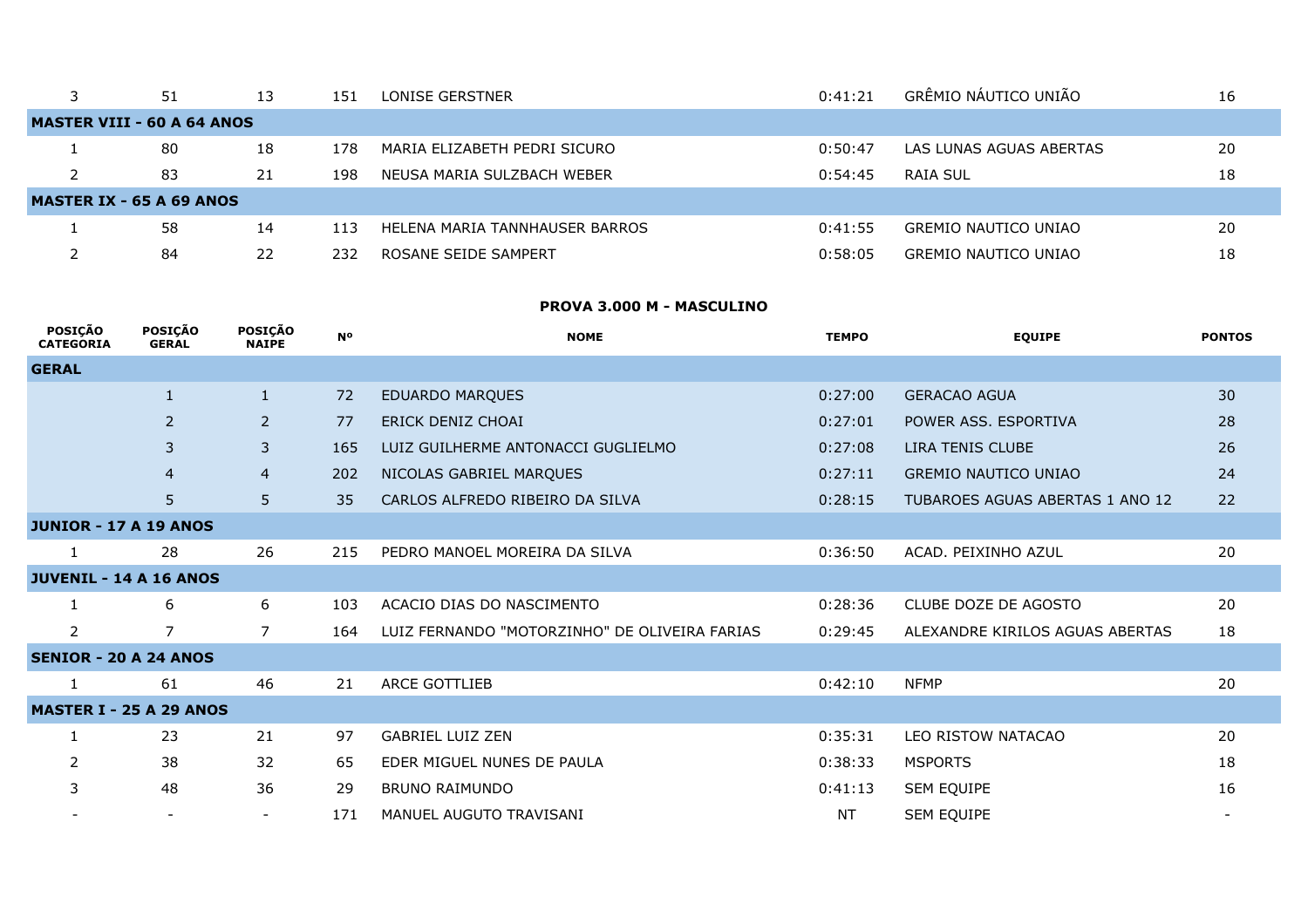|                                   | 51 | 13 | 151 | LONISE GERSTNER                | 0:41:21 | GRÊMIO NÁUTICO UNIÃO        | 16 |
|-----------------------------------|----|----|-----|--------------------------------|---------|-----------------------------|----|
| <b>MASTER VIII - 60 A 64 ANOS</b> |    |    |     |                                |         |                             |    |
|                                   | 80 | 18 | 178 | MARIA ELIZABETH PEDRI SICURO   | 0:50:47 | LAS LUNAS AGUAS ABERTAS     | 20 |
|                                   | 83 | 21 | 198 | NEUSA MARIA SULZBACH WEBER     | 0:54:45 | RAIA SUL                    | 18 |
| <b>MASTER IX - 65 A 69 ANOS</b>   |    |    |     |                                |         |                             |    |
|                                   | 58 | 14 | 113 | HELENA MARIA TANNHAUSER BARROS | 0:41:55 | <b>GREMIO NAUTICO UNIAO</b> | 20 |
|                                   | 84 | 22 | 232 | ROSANE SEIDE SAMPERT           | 0:58:05 | <b>GREMIO NAUTICO UNIAO</b> | 18 |

## **PROVA 3.000 M - MASCULINO**

| <b>POSICÃO</b><br><b>CATEGORIA</b> | <b>POSICÃO</b><br><b>GERAL</b> | <b>POSICÃO</b><br><b>NAIPE</b> | <b>N°</b> | <b>NOME</b>                                   | <b>TEMPO</b> | <b>EQUIPE</b>                   | <b>PONTOS</b> |
|------------------------------------|--------------------------------|--------------------------------|-----------|-----------------------------------------------|--------------|---------------------------------|---------------|
| <b>GERAL</b>                       |                                |                                |           |                                               |              |                                 |               |
|                                    | $\mathbf{1}$                   | $\mathbf{1}$                   | 72        | <b>EDUARDO MARQUES</b>                        | 0:27:00      | <b>GERACAO AGUA</b>             | 30            |
|                                    | $\overline{2}$                 | $\overline{2}$                 | 77        | ERICK DENIZ CHOAI                             | 0:27:01      | POWER ASS. ESPORTIVA            | 28            |
|                                    | 3                              | 3                              | 165       | LUIZ GUILHERME ANTONACCI GUGLIELMO            | 0:27:08      | LIRA TENIS CLUBE                | 26            |
|                                    | $\overline{4}$                 | $\overline{4}$                 | 202       | NICOLAS GABRIEL MARQUES                       | 0:27:11      | <b>GREMIO NAUTICO UNIAO</b>     | 24            |
|                                    | 5                              | 5                              | 35        | CARLOS ALFREDO RIBEIRO DA SILVA               | 0:28:15      | TUBAROES AGUAS ABERTAS 1 ANO 12 | 22            |
| <b>JUNIOR - 17 A 19 ANOS</b>       |                                |                                |           |                                               |              |                                 |               |
|                                    | 28                             | 26                             | 215       | PEDRO MANOEL MOREIRA DA SILVA                 | 0:36:50      | ACAD. PEIXINHO AZUL             | 20            |
| <b>JUVENIL - 14 A 16 ANOS</b>      |                                |                                |           |                                               |              |                                 |               |
|                                    | 6                              | 6                              | 103       | ACACIO DIAS DO NASCIMENTO                     | 0:28:36      | CLUBE DOZE DE AGOSTO            | 20            |
| 2                                  | 7                              | 7                              | 164       | LUIZ FERNANDO "MOTORZINHO" DE OLIVEIRA FARIAS | 0:29:45      | ALEXANDRE KIRILOS AGUAS ABERTAS | 18            |
| <b>SENIOR - 20 A 24 ANOS</b>       |                                |                                |           |                                               |              |                                 |               |
|                                    | 61                             | 46                             | 21        | ARCE GOTTLIEB                                 | 0:42:10      | <b>NFMP</b>                     | 20            |
| <b>MASTER I - 25 A 29 ANOS</b>     |                                |                                |           |                                               |              |                                 |               |
|                                    | 23                             | 21                             | 97        | <b>GABRIEL LUIZ ZEN</b>                       | 0:35:31      | LEO RISTOW NATACAO              | 20            |
| 2                                  | 38                             | 32                             | 65        | EDER MIGUEL NUNES DE PAULA                    | 0:38:33      | <b>MSPORTS</b>                  | 18            |
| 3                                  | 48                             | 36                             | 29        | <b>BRUNO RAIMUNDO</b>                         | 0:41:13      | SEM EQUIPE                      | 16            |
|                                    |                                | $\overline{\phantom{a}}$       | 171       | MANUEL AUGUTO TRAVISANI                       | NT           | SEM EQUIPE                      |               |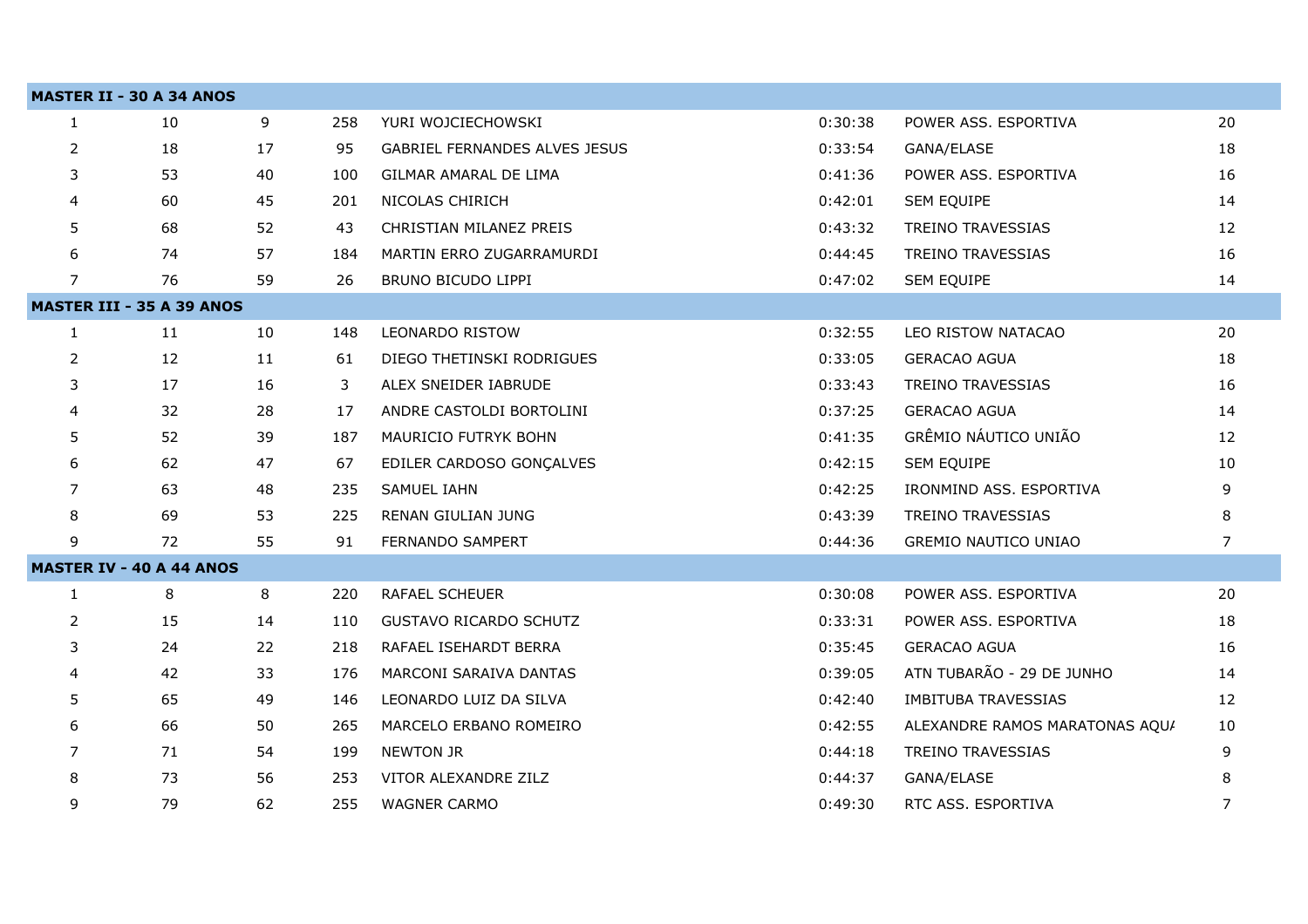|              | <b>MASTER II - 30 A 34 ANOS</b>  |    |     |                                      |         |                                |                |
|--------------|----------------------------------|----|-----|--------------------------------------|---------|--------------------------------|----------------|
| $\mathbf{1}$ | 10                               | 9  | 258 | YURI WOJCIECHOWSKI                   | 0:30:38 | POWER ASS. ESPORTIVA           | 20             |
| 2            | 18                               | 17 | 95  | <b>GABRIEL FERNANDES ALVES JESUS</b> | 0:33:54 | GANA/ELASE                     | 18             |
| 3            | 53                               | 40 | 100 | GILMAR AMARAL DE LIMA                | 0:41:36 | POWER ASS. ESPORTIVA           | 16             |
| 4            | 60                               | 45 | 201 | NICOLAS CHIRICH                      | 0:42:01 | SEM EQUIPE                     | 14             |
| 5            | 68                               | 52 | 43  | CHRISTIAN MILANEZ PREIS              | 0:43:32 | <b>TREINO TRAVESSIAS</b>       | 12             |
| 6            | 74                               | 57 | 184 | MARTIN ERRO ZUGARRAMURDI             | 0:44:45 | <b>TREINO TRAVESSIAS</b>       | 16             |
| 7            | 76                               | 59 | 26  | BRUNO BICUDO LIPPI                   | 0:47:02 | SEM EQUIPE                     | 14             |
|              | <b>MASTER III - 35 A 39 ANOS</b> |    |     |                                      |         |                                |                |
| 1            | 11                               | 10 | 148 | <b>LEONARDO RISTOW</b>               | 0:32:55 | LEO RISTOW NATACAO             | 20             |
| 2            | 12                               | 11 | 61  | DIEGO THETINSKI RODRIGUES            | 0:33:05 | <b>GERACAO AGUA</b>            | 18             |
| 3            | 17                               | 16 | 3   | ALEX SNEIDER IABRUDE                 | 0:33:43 | <b>TREINO TRAVESSIAS</b>       | 16             |
| 4            | 32                               | 28 | 17  | ANDRE CASTOLDI BORTOLINI             | 0:37:25 | <b>GERACAO AGUA</b>            | 14             |
| 5            | 52                               | 39 | 187 | MAURICIO FUTRYK BOHN                 | 0:41:35 | GRÊMIO NÁUTICO UNIÃO           | 12             |
| 6            | 62                               | 47 | 67  | EDILER CARDOSO GONÇALVES             | 0:42:15 | <b>SEM EQUIPE</b>              | 10             |
| 7            | 63                               | 48 | 235 | SAMUEL IAHN                          | 0:42:25 | IRONMIND ASS. ESPORTIVA        | 9              |
| 8            | 69                               | 53 | 225 | RENAN GIULIAN JUNG                   | 0:43:39 | <b>TREINO TRAVESSIAS</b>       | 8              |
| 9            | 72                               | 55 | 91  | FERNANDO SAMPERT                     | 0:44:36 | <b>GREMIO NAUTICO UNIAO</b>    | 7              |
|              | <b>MASTER IV - 40 A 44 ANOS</b>  |    |     |                                      |         |                                |                |
| 1            | 8                                | 8  | 220 | RAFAEL SCHEUER                       | 0:30:08 | POWER ASS. ESPORTIVA           | 20             |
| 2            | 15                               | 14 | 110 | <b>GUSTAVO RICARDO SCHUTZ</b>        | 0:33:31 | POWER ASS. ESPORTIVA           | 18             |
| 3            | 24                               | 22 | 218 | RAFAEL ISEHARDT BERRA                | 0:35:45 | <b>GERACAO AGUA</b>            | 16             |
| 4            | 42                               | 33 | 176 | <b>MARCONI SARAIVA DANTAS</b>        | 0:39:05 | ATN TUBARÃO - 29 DE JUNHO      | 14             |
| 5            | 65                               | 49 | 146 | LEONARDO LUIZ DA SILVA               | 0:42:40 | <b>IMBITUBA TRAVESSIAS</b>     | 12             |
| 6            | 66                               | 50 | 265 | MARCELO ERBANO ROMEIRO               | 0:42:55 | ALEXANDRE RAMOS MARATONAS AQUI | 10             |
| 7            | 71                               | 54 | 199 | <b>NEWTON JR</b>                     | 0:44:18 | <b>TREINO TRAVESSIAS</b>       | 9              |
| 8            | 73                               | 56 | 253 | VITOR ALEXANDRE ZILZ                 | 0:44:37 | GANA/ELASE                     | 8              |
| 9            | 79                               | 62 | 255 | <b>WAGNER CARMO</b>                  | 0:49:30 | RTC ASS. ESPORTIVA             | $\overline{7}$ |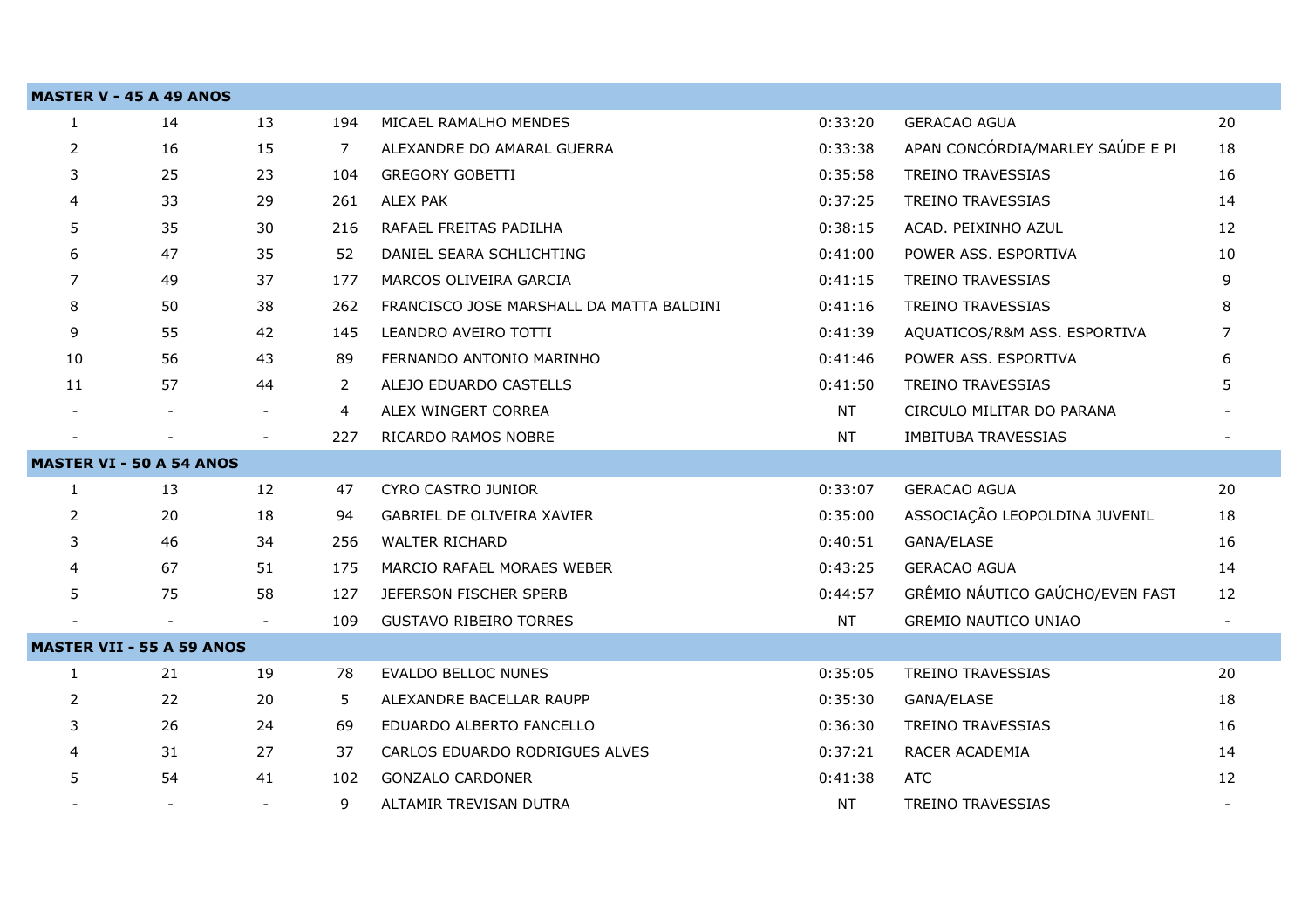|              | <b>MASTER V - 45 A 49 ANOS</b>   |                          |     |                                          |           |                                  |                |
|--------------|----------------------------------|--------------------------|-----|------------------------------------------|-----------|----------------------------------|----------------|
| $\mathbf{1}$ | 14                               | 13                       | 194 | MICAEL RAMALHO MENDES                    | 0:33:20   | <b>GERACAO AGUA</b>              | 20             |
| 2            | 16                               | 15                       | 7   | ALEXANDRE DO AMARAL GUERRA               | 0:33:38   | APAN CONCÓRDIA/MARLEY SAÚDE E PI | 18             |
| 3            | 25                               | 23                       | 104 | <b>GREGORY GOBETTI</b>                   | 0:35:58   | TREINO TRAVESSIAS                | 16             |
| 4            | 33                               | 29                       | 261 | ALEX PAK                                 | 0:37:25   | TREINO TRAVESSIAS                | 14             |
| 5            | 35                               | 30                       | 216 | RAFAEL FREITAS PADILHA                   | 0:38:15   | ACAD. PEIXINHO AZUL              | 12             |
| 6            | 47                               | 35                       | 52  | DANIEL SEARA SCHLICHTING                 | 0:41:00   | POWER ASS. ESPORTIVA             | 10             |
| 7            | 49                               | 37                       | 177 | MARCOS OLIVEIRA GARCIA                   | 0:41:15   | <b>TREINO TRAVESSIAS</b>         | 9              |
| 8            | 50                               | 38                       | 262 | FRANCISCO JOSE MARSHALL DA MATTA BALDINI | 0:41:16   | <b>TREINO TRAVESSIAS</b>         | 8              |
| 9            | 55                               | 42                       | 145 | LEANDRO AVEIRO TOTTI                     | 0:41:39   | AQUATICOS/R&M ASS. ESPORTIVA     | $\overline{7}$ |
| 10           | 56                               | 43                       | 89  | FERNANDO ANTONIO MARINHO                 | 0:41:46   | POWER ASS. ESPORTIVA             | 6              |
| 11           | 57                               | 44                       | 2   | ALEJO EDUARDO CASTELLS                   | 0:41:50   | <b>TREINO TRAVESSIAS</b>         | 5              |
|              |                                  | $\overline{\phantom{a}}$ | 4   | ALEX WINGERT CORREA                      | <b>NT</b> | CIRCULO MILITAR DO PARANA        |                |
|              |                                  |                          | 227 | RICARDO RAMOS NOBRE                      | <b>NT</b> | <b>IMBITUBA TRAVESSIAS</b>       |                |
|              | <b>MASTER VI - 50 A 54 ANOS</b>  |                          |     |                                          |           |                                  |                |
| $\mathbf{1}$ | 13                               | 12                       | 47  | CYRO CASTRO JUNIOR                       | 0:33:07   | <b>GERACAO AGUA</b>              | 20             |
| 2            | 20                               | 18                       | 94  | <b>GABRIEL DE OLIVEIRA XAVIER</b>        | 0:35:00   | ASSOCIAÇÃO LEOPOLDINA JUVENIL    | 18             |
| 3            | 46                               | 34                       | 256 | <b>WALTER RICHARD</b>                    | 0:40:51   | GANA/ELASE                       | 16             |
| 4            | 67                               | 51                       | 175 | MARCIO RAFAEL MORAES WEBER               | 0:43:25   | <b>GERACAO AGUA</b>              | 14             |
| 5            | 75                               | 58                       | 127 | JEFERSON FISCHER SPERB                   | 0:44:57   | GRÊMIO NÁUTICO GAÚCHO/EVEN FAST  | 12             |
|              |                                  | $\overline{\phantom{a}}$ | 109 | <b>GUSTAVO RIBEIRO TORRES</b>            | <b>NT</b> | <b>GREMIO NAUTICO UNIAO</b>      |                |
|              | <b>MASTER VII - 55 A 59 ANOS</b> |                          |     |                                          |           |                                  |                |
| $\mathbf{1}$ | 21                               | 19                       | 78  | <b>EVALDO BELLOC NUNES</b>               | 0:35:05   | <b>TREINO TRAVESSIAS</b>         | 20             |
| 2            | 22                               | 20                       | 5   | ALEXANDRE BACELLAR RAUPP                 | 0:35:30   | GANA/ELASE                       | 18             |
| 3            | 26                               | 24                       | 69  | EDUARDO ALBERTO FANCELLO                 | 0:36:30   | <b>TREINO TRAVESSIAS</b>         | 16             |
| 4            | 31                               | 27                       | 37  | CARLOS EDUARDO RODRIGUES ALVES           | 0:37:21   | RACER ACADEMIA                   | 14             |
| 5            | 54                               | 41                       | 102 | <b>GONZALO CARDONER</b>                  | 0:41:38   | <b>ATC</b>                       | 12             |
|              |                                  | $\overline{\phantom{a}}$ | 9   | ALTAMIR TREVISAN DUTRA                   | NT.       | <b>TREINO TRAVESSIAS</b>         |                |